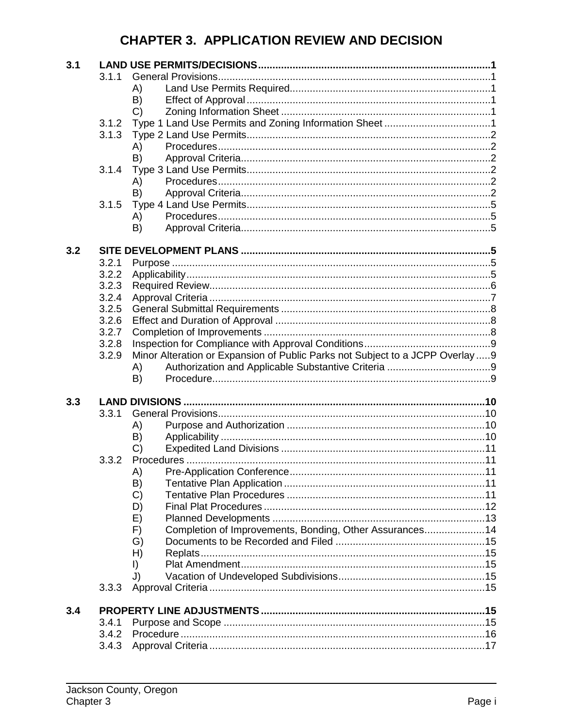# **CHAPTER 3. APPLICATION REVIEW AND DECISION**

| 3.1 |                |                                                                               |  |
|-----|----------------|-------------------------------------------------------------------------------|--|
|     | 3.1.1          |                                                                               |  |
|     |                | A)                                                                            |  |
|     |                | B)                                                                            |  |
|     |                | $\mathcal{C}$                                                                 |  |
|     | 3.1.2          |                                                                               |  |
|     | 3.1.3          |                                                                               |  |
|     |                | A)                                                                            |  |
|     |                | B)                                                                            |  |
|     | 3.1.4          |                                                                               |  |
|     |                | A)                                                                            |  |
|     |                | B)                                                                            |  |
|     | 3.1.5          |                                                                               |  |
|     |                | A)                                                                            |  |
|     |                | B)                                                                            |  |
|     |                |                                                                               |  |
| 3.2 |                |                                                                               |  |
|     | 3.2.1          |                                                                               |  |
|     | 3.2.2          |                                                                               |  |
|     | 3.2.3          |                                                                               |  |
|     | 3.2.4          |                                                                               |  |
|     | 3.2.5          |                                                                               |  |
|     | 3.2.6          |                                                                               |  |
|     | 3.2.7          |                                                                               |  |
|     | 3.2.8          |                                                                               |  |
|     | 3.2.9          | Minor Alteration or Expansion of Public Parks not Subject to a JCPP Overlay 9 |  |
|     |                | A)                                                                            |  |
|     |                | B)                                                                            |  |
|     |                |                                                                               |  |
|     |                |                                                                               |  |
| 3.3 |                |                                                                               |  |
|     | 3.3.1          |                                                                               |  |
|     |                | A)                                                                            |  |
|     |                | B)                                                                            |  |
|     |                | $\mathcal{C}$                                                                 |  |
|     | 3.3.2          |                                                                               |  |
|     |                | A)                                                                            |  |
|     |                | B)                                                                            |  |
|     |                | C)                                                                            |  |
|     |                | D)                                                                            |  |
|     |                | E)                                                                            |  |
|     |                | Completion of Improvements, Bonding, Other Assurances14<br>F)                 |  |
|     |                | G)                                                                            |  |
|     |                | H)                                                                            |  |
|     |                | $\vert$                                                                       |  |
|     |                | J)                                                                            |  |
|     | 3.3.3          |                                                                               |  |
|     |                |                                                                               |  |
| 3.4 |                |                                                                               |  |
|     | 3.4.1          |                                                                               |  |
|     | 3.4.2<br>3.4.3 |                                                                               |  |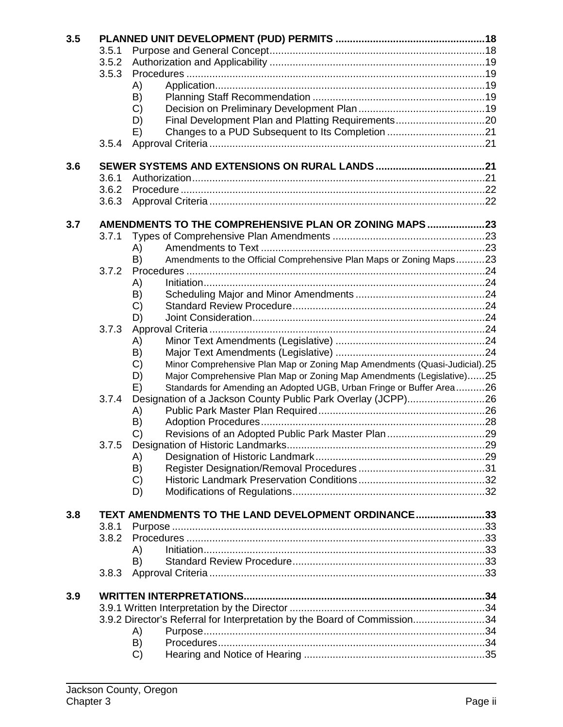| 3.5 |                                                     |                     |                                                                           |  |  |  |  |
|-----|-----------------------------------------------------|---------------------|---------------------------------------------------------------------------|--|--|--|--|
|     | 3.5.1<br>3.5.2<br>3.5.3                             |                     |                                                                           |  |  |  |  |
|     |                                                     |                     |                                                                           |  |  |  |  |
|     |                                                     |                     |                                                                           |  |  |  |  |
|     |                                                     | A)                  |                                                                           |  |  |  |  |
|     |                                                     | B)                  |                                                                           |  |  |  |  |
|     |                                                     | $\mathcal{C}$       |                                                                           |  |  |  |  |
|     |                                                     | D)                  |                                                                           |  |  |  |  |
|     |                                                     | E)                  |                                                                           |  |  |  |  |
|     | 3.5.4                                               |                     |                                                                           |  |  |  |  |
| 3.6 |                                                     |                     |                                                                           |  |  |  |  |
|     | 3.6.1                                               |                     |                                                                           |  |  |  |  |
|     | 3.6.2                                               |                     |                                                                           |  |  |  |  |
|     | 3.6.3                                               |                     |                                                                           |  |  |  |  |
| 3.7 |                                                     |                     | AMENDMENTS TO THE COMPREHENSIVE PLAN OR ZONING MAPS23                     |  |  |  |  |
|     | 3.7.1                                               |                     |                                                                           |  |  |  |  |
|     |                                                     | A)                  |                                                                           |  |  |  |  |
|     |                                                     | B)                  | Amendments to the Official Comprehensive Plan Maps or Zoning Maps23       |  |  |  |  |
|     | 3.7.2                                               |                     |                                                                           |  |  |  |  |
|     |                                                     | A)                  |                                                                           |  |  |  |  |
|     |                                                     | B)                  |                                                                           |  |  |  |  |
|     |                                                     | C)                  |                                                                           |  |  |  |  |
|     |                                                     | D)                  |                                                                           |  |  |  |  |
|     | 3.7.3                                               |                     |                                                                           |  |  |  |  |
|     |                                                     | A)                  |                                                                           |  |  |  |  |
|     |                                                     | B)                  |                                                                           |  |  |  |  |
|     |                                                     | $\mathcal{C}$       | Minor Comprehensive Plan Map or Zoning Map Amendments (Quasi-Judicial).25 |  |  |  |  |
|     |                                                     | D)                  | Major Comprehensive Plan Map or Zoning Map Amendments (Legislative)25     |  |  |  |  |
|     |                                                     | E)                  | Standards for Amending an Adopted UGB, Urban Fringe or Buffer Area26      |  |  |  |  |
|     | 3.7.4                                               |                     |                                                                           |  |  |  |  |
|     |                                                     | A)                  |                                                                           |  |  |  |  |
|     |                                                     | B)                  |                                                                           |  |  |  |  |
|     |                                                     | C)                  |                                                                           |  |  |  |  |
|     | 3.7.5                                               |                     |                                                                           |  |  |  |  |
|     |                                                     | A)                  |                                                                           |  |  |  |  |
|     |                                                     | B)                  |                                                                           |  |  |  |  |
|     |                                                     | $\mathcal{C}$<br>D) |                                                                           |  |  |  |  |
|     |                                                     |                     |                                                                           |  |  |  |  |
| 3.8 | TEXT AMENDMENTS TO THE LAND DEVELOPMENT ORDINANCE33 |                     |                                                                           |  |  |  |  |
|     | 3.8.1                                               |                     |                                                                           |  |  |  |  |
|     | 3.8.2                                               |                     |                                                                           |  |  |  |  |
|     |                                                     | A)                  |                                                                           |  |  |  |  |
|     |                                                     | B)                  |                                                                           |  |  |  |  |
|     | 3.8.3                                               |                     |                                                                           |  |  |  |  |
| 3.9 |                                                     |                     |                                                                           |  |  |  |  |
|     |                                                     |                     |                                                                           |  |  |  |  |
|     |                                                     |                     | 3.9.2 Director's Referral for Interpretation by the Board of Commission34 |  |  |  |  |
|     |                                                     | A)                  |                                                                           |  |  |  |  |
|     |                                                     | B)                  |                                                                           |  |  |  |  |
|     |                                                     | $\mathcal{C}$       |                                                                           |  |  |  |  |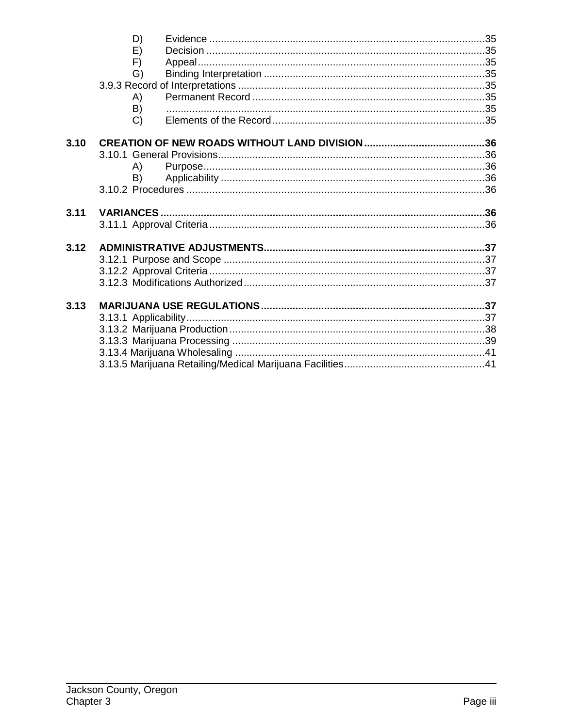|      | D)            |  |
|------|---------------|--|
|      | E)            |  |
|      | F)            |  |
|      | G)            |  |
|      |               |  |
|      | A)            |  |
|      | B)            |  |
|      | $\mathcal{C}$ |  |
| 3.10 |               |  |
|      |               |  |
|      | A)            |  |
|      | B)            |  |
|      |               |  |
| 3.11 |               |  |
|      |               |  |
|      |               |  |
| 3.12 |               |  |
|      |               |  |
|      |               |  |
|      |               |  |
| 3.13 |               |  |
|      |               |  |
|      |               |  |
|      |               |  |
|      |               |  |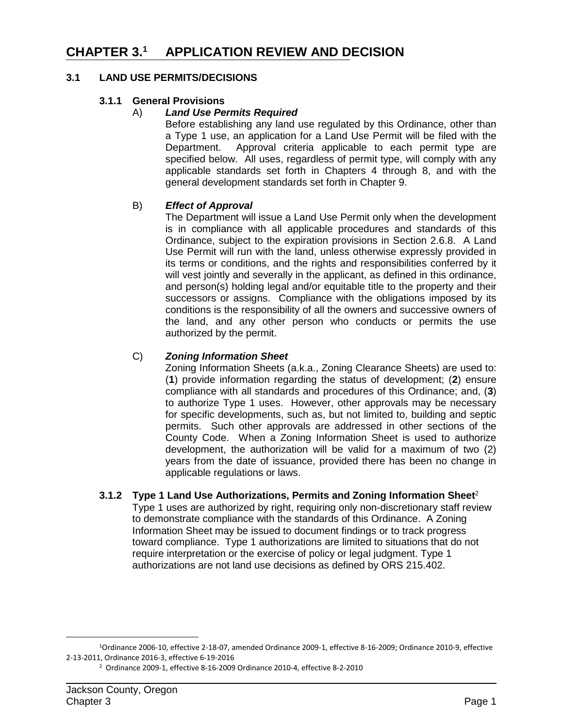# **CHAPTER 3.1 APPLICATION REVIEW AND DECISION**

### **3.1 LAND USE PERMITS/DECISIONS**

### **3.1.1 General Provisions**

#### A) *Land Use Permits Required*

Before establishing any land use regulated by this Ordinance, other than a Type 1 use, an application for a Land Use Permit will be filed with the Department. Approval criteria applicable to each permit type are specified below. All uses, regardless of permit type, will comply with any applicable standards set forth in Chapters 4 through 8, and with the general development standards set forth in Chapter 9.

#### B) *Effect of Approval*

The Department will issue a Land Use Permit only when the development is in compliance with all applicable procedures and standards of this Ordinance, subject to the expiration provisions in Section 2.6.8. A Land Use Permit will run with the land, unless otherwise expressly provided in its terms or conditions, and the rights and responsibilities conferred by it will vest jointly and severally in the applicant, as defined in this ordinance, and person(s) holding legal and/or equitable title to the property and their successors or assigns. Compliance with the obligations imposed by its conditions is the responsibility of all the owners and successive owners of the land, and any other person who conducts or permits the use authorized by the permit.

### C) *Zoning Information Sheet*

Zoning Information Sheets (a.k.a., Zoning Clearance Sheets) are used to: (**1**) provide information regarding the status of development; (**2**) ensure compliance with all standards and procedures of this Ordinance; and, (**3**) to authorize Type 1 uses. However, other approvals may be necessary for specific developments, such as, but not limited to, building and septic permits. Such other approvals are addressed in other sections of the County Code. When a Zoning Information Sheet is used to authorize development, the authorization will be valid for a maximum of two (2) years from the date of issuance, provided there has been no change in applicable regulations or laws.

#### **3.1.2 Type 1 Land Use Authorizations, Permits and Zoning Information Sheet**<sup>2</sup>

Type 1 uses are authorized by right, requiring only non-discretionary staff review to demonstrate compliance with the standards of this Ordinance. A Zoning Information Sheet may be issued to document findings or to track progress toward compliance. Type 1 authorizations are limited to situations that do not require interpretation or the exercise of policy or legal judgment. Type 1 authorizations are not land use decisions as defined by ORS 215.402.

<sup>1</sup>Ordinance 2006-10, effective 2-18-07, amended Ordinance 2009-1, effective 8-16-2009; Ordinance 2010-9, effective 2-13-2011, Ordinance 2016-3, effective 6-19-2016

<sup>2</sup> Ordinance 2009-1, effective 8-16-2009 Ordinance 2010-4, effective 8-2-2010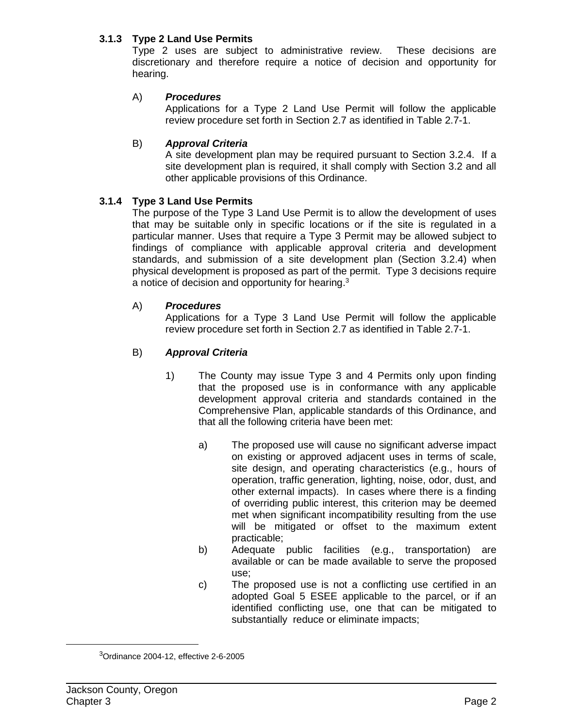### **3.1.3 Type 2 Land Use Permits**

Type 2 uses are subject to administrative review. These decisions are discretionary and therefore require a notice of decision and opportunity for hearing.

# A) *Procedures*

Applications for a Type 2 Land Use Permit will follow the applicable review procedure set forth in Section 2.7 as identified in Table 2.7-1.

# B) *Approval Criteria*

A site development plan may be required pursuant to Section 3.2.4. If a site development plan is required, it shall comply with Section 3.2 and all other applicable provisions of this Ordinance.

# **3.1.4 Type 3 Land Use Permits**

The purpose of the Type 3 Land Use Permit is to allow the development of uses that may be suitable only in specific locations or if the site is regulated in a particular manner. Uses that require a Type 3 Permit may be allowed subject to findings of compliance with applicable approval criteria and development standards, and submission of a site development plan (Section 3.2.4) when physical development is proposed as part of the permit. Type 3 decisions require a notice of decision and opportunity for hearing.<sup>3</sup>

### A) *Procedures*

Applications for a Type 3 Land Use Permit will follow the applicable review procedure set forth in Section 2.7 as identified in Table 2.7-1.

### B) *Approval Criteria*

- 1) The County may issue Type 3 and 4 Permits only upon finding that the proposed use is in conformance with any applicable development approval criteria and standards contained in the Comprehensive Plan, applicable standards of this Ordinance, and that all the following criteria have been met:
	- a) The proposed use will cause no significant adverse impact on existing or approved adjacent uses in terms of scale, site design, and operating characteristics (e.g., hours of operation, traffic generation, lighting, noise, odor, dust, and other external impacts). In cases where there is a finding of overriding public interest, this criterion may be deemed met when significant incompatibility resulting from the use will be mitigated or offset to the maximum extent practicable;
	- b) Adequate public facilities (e.g., transportation) are available or can be made available to serve the proposed use;
	- c) The proposed use is not a conflicting use certified in an adopted Goal 5 ESEE applicable to the parcel, or if an identified conflicting use, one that can be mitigated to substantially reduce or eliminate impacts;

<sup>3</sup> Ordinance 2004-12, effective 2-6-2005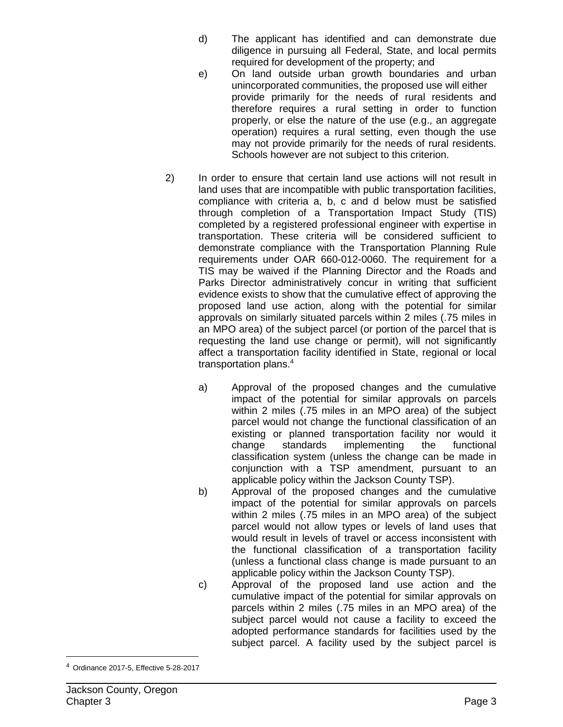- d) The applicant has identified and can demonstrate due diligence in pursuing all Federal, State, and local permits required for development of the property; and
- e) On land outside urban growth boundaries and urban unincorporated communities, the proposed use will either provide primarily for the needs of rural residents and therefore requires a rural setting in order to function properly, or else the nature of the use (e.g., an aggregate operation) requires a rural setting, even though the use may not provide primarily for the needs of rural residents. Schools however are not subject to this criterion.
- 2) In order to ensure that certain land use actions will not result in land uses that are incompatible with public transportation facilities, compliance with criteria a, b, c and d below must be satisfied through completion of a Transportation Impact Study (TIS) completed by a registered professional engineer with expertise in transportation. These criteria will be considered sufficient to demonstrate compliance with the Transportation Planning Rule requirements under OAR 660-012-0060. The requirement for a TIS may be waived if the Planning Director and the Roads and Parks Director administratively concur in writing that sufficient evidence exists to show that the cumulative effect of approving the proposed land use action, along with the potential for similar approvals on similarly situated parcels within 2 miles (.75 miles in an MPO area) of the subject parcel (or portion of the parcel that is requesting the land use change or permit), will not significantly affect a transportation facility identified in State, regional or local transportation plans.4
	- a) Approval of the proposed changes and the cumulative impact of the potential for similar approvals on parcels within 2 miles (.75 miles in an MPO area) of the subject parcel would not change the functional classification of an existing or planned transportation facility nor would it change standards implementing the functional classification system (unless the change can be made in conjunction with a TSP amendment, pursuant to an applicable policy within the Jackson County TSP).
	- b) Approval of the proposed changes and the cumulative impact of the potential for similar approvals on parcels within 2 miles (.75 miles in an MPO area) of the subject parcel would not allow types or levels of land uses that would result in levels of travel or access inconsistent with the functional classification of a transportation facility (unless a functional class change is made pursuant to an applicable policy within the Jackson County TSP).
	- c) Approval of the proposed land use action and the cumulative impact of the potential for similar approvals on parcels within 2 miles (.75 miles in an MPO area) of the subject parcel would not cause a facility to exceed the adopted performance standards for facilities used by the subject parcel. A facility used by the subject parcel is

<sup>4</sup> Ordinance 2017-5, Effective 5-28-2017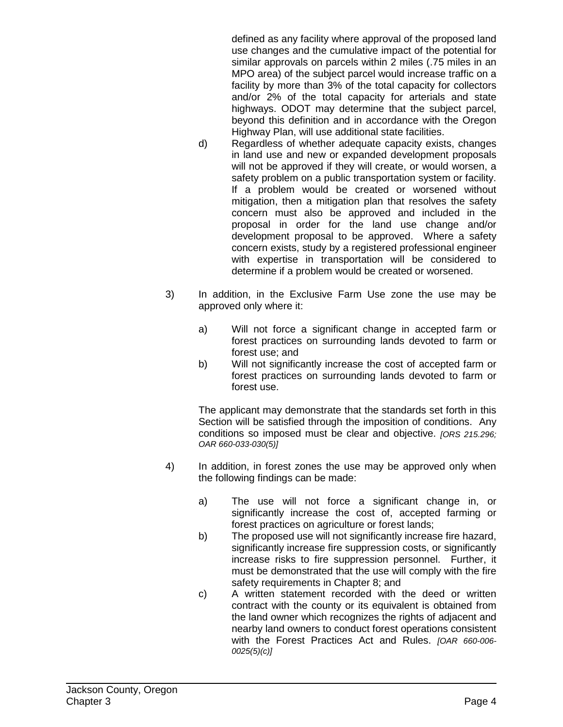defined as any facility where approval of the proposed land use changes and the cumulative impact of the potential for similar approvals on parcels within 2 miles (.75 miles in an MPO area) of the subject parcel would increase traffic on a facility by more than 3% of the total capacity for collectors and/or 2% of the total capacity for arterials and state highways. ODOT may determine that the subject parcel, beyond this definition and in accordance with the Oregon Highway Plan, will use additional state facilities.

- d) Regardless of whether adequate capacity exists, changes in land use and new or expanded development proposals will not be approved if they will create, or would worsen, a safety problem on a public transportation system or facility. If a problem would be created or worsened without mitigation, then a mitigation plan that resolves the safety concern must also be approved and included in the proposal in order for the land use change and/or development proposal to be approved. Where a safety concern exists, study by a registered professional engineer with expertise in transportation will be considered to determine if a problem would be created or worsened.
- 3) In addition, in the Exclusive Farm Use zone the use may be approved only where it:
	- a) Will not force a significant change in accepted farm or forest practices on surrounding lands devoted to farm or forest use; and
	- b) Will not significantly increase the cost of accepted farm or forest practices on surrounding lands devoted to farm or forest use.

The applicant may demonstrate that the standards set forth in this Section will be satisfied through the imposition of conditions. Any conditions so imposed must be clear and objective. *[ORS 215.296; OAR 660-033-030(5)]*

- 4) In addition, in forest zones the use may be approved only when the following findings can be made:
	- a) The use will not force a significant change in, or significantly increase the cost of, accepted farming or forest practices on agriculture or forest lands;
	- b) The proposed use will not significantly increase fire hazard, significantly increase fire suppression costs, or significantly increase risks to fire suppression personnel. Further, it must be demonstrated that the use will comply with the fire safety requirements in Chapter 8; and
	- c) A written statement recorded with the deed or written contract with the county or its equivalent is obtained from the land owner which recognizes the rights of adjacent and nearby land owners to conduct forest operations consistent with the Forest Practices Act and Rules. *[OAR 660-006- 0025(5)(c)]*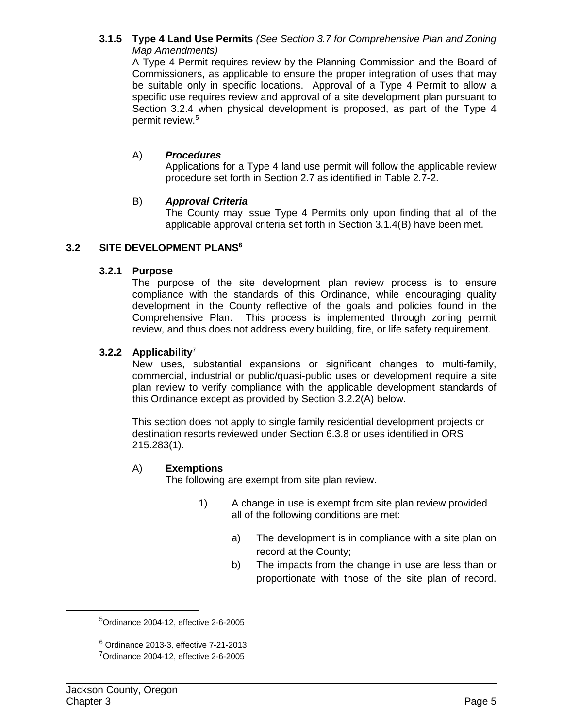# **3.1.5 Type 4 Land Use Permits** *(See Section 3.7 for Comprehensive Plan and Zoning Map Amendments)*

A Type 4 Permit requires review by the Planning Commission and the Board of Commissioners, as applicable to ensure the proper integration of uses that may be suitable only in specific locations. Approval of a Type 4 Permit to allow a specific use requires review and approval of a site development plan pursuant to Section 3.2.4 when physical development is proposed, as part of the Type 4 permit review.5

### A) *Procedures*

Applications for a Type 4 land use permit will follow the applicable review procedure set forth in Section 2.7 as identified in Table 2.7-2.

### B) *Approval Criteria*

The County may issue Type 4 Permits only upon finding that all of the applicable approval criteria set forth in Section 3.1.4(B) have been met.

# **3.2 SITE DEVELOPMENT PLANS6**

# **3.2.1 Purpose**

The purpose of the site development plan review process is to ensure compliance with the standards of this Ordinance, while encouraging quality development in the County reflective of the goals and policies found in the Comprehensive Plan. This process is implemented through zoning permit review, and thus does not address every building, fire, or life safety requirement.

# **3.2.2 Applicability**<sup>7</sup>

New uses, substantial expansions or significant changes to multi-family, commercial, industrial or public/quasi-public uses or development require a site plan review to verify compliance with the applicable development standards of this Ordinance except as provided by Section 3.2.2(A) below.

This section does not apply to single family residential development projects or destination resorts reviewed under Section 6.3.8 or uses identified in ORS 215.283(1).

### A) **Exemptions**

The following are exempt from site plan review.

- 1) A change in use is exempt from site plan review provided all of the following conditions are met:
	- a) The development is in compliance with a site plan on record at the County;
	- b) The impacts from the change in use are less than or proportionate with those of the site plan of record.

<sup>5</sup> Ordinance 2004-12, effective 2-6-2005

 $6$  Ordinance 2013-3, effective 7-21-2013 7 Ordinance 2004-12, effective 2-6-2005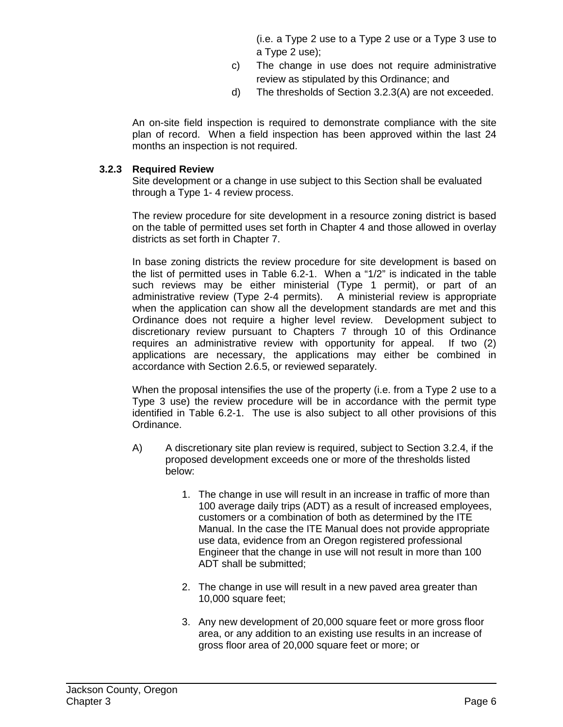(i.e. a Type 2 use to a Type 2 use or a Type 3 use to a Type 2 use);

- c) The change in use does not require administrative review as stipulated by this Ordinance; and
- d) The thresholds of Section 3.2.3(A) are not exceeded.

An on-site field inspection is required to demonstrate compliance with the site plan of record. When a field inspection has been approved within the last 24 months an inspection is not required.

### **3.2.3 Required Review**

Site development or a change in use subject to this Section shall be evaluated through a Type 1- 4 review process.

The review procedure for site development in a resource zoning district is based on the table of permitted uses set forth in Chapter 4 and those allowed in overlay districts as set forth in Chapter 7.

In base zoning districts the review procedure for site development is based on the list of permitted uses in Table 6.2-1. When a "1/2" is indicated in the table such reviews may be either ministerial (Type 1 permit), or part of an administrative review (Type 2-4 permits). A ministerial review is appropriate when the application can show all the development standards are met and this Ordinance does not require a higher level review. Development subject to discretionary review pursuant to Chapters 7 through 10 of this Ordinance requires an administrative review with opportunity for appeal. If two (2) applications are necessary, the applications may either be combined in accordance with Section 2.6.5, or reviewed separately.

When the proposal intensifies the use of the property (i.e. from a Type 2 use to a Type 3 use) the review procedure will be in accordance with the permit type identified in Table 6.2-1. The use is also subject to all other provisions of this Ordinance.

- A) A discretionary site plan review is required, subject to Section 3.2.4, if the proposed development exceeds one or more of the thresholds listed below:
	- 1. The change in use will result in an increase in traffic of more than 100 average daily trips (ADT) as a result of increased employees, customers or a combination of both as determined by the ITE Manual. In the case the ITE Manual does not provide appropriate use data, evidence from an Oregon registered professional Engineer that the change in use will not result in more than 100 ADT shall be submitted;
	- 2. The change in use will result in a new paved area greater than 10,000 square feet;
	- 3. Any new development of 20,000 square feet or more gross floor area, or any addition to an existing use results in an increase of gross floor area of 20,000 square feet or more; or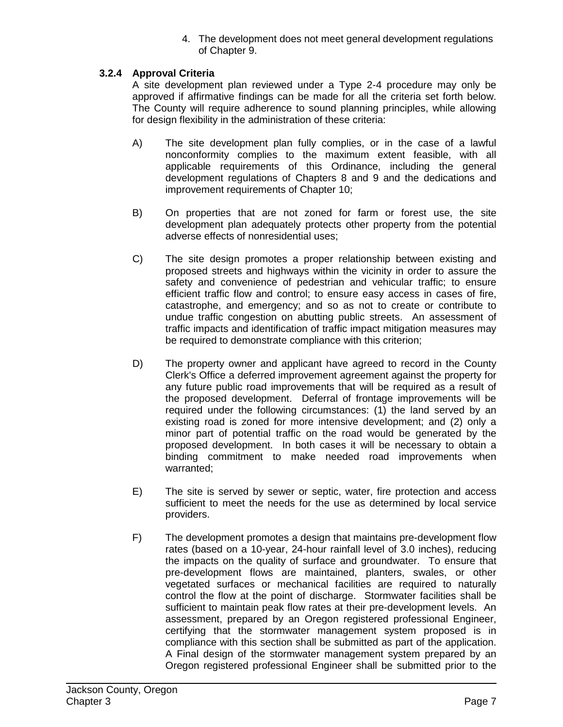4. The development does not meet general development regulations of Chapter 9.

# **3.2.4 Approval Criteria**

A site development plan reviewed under a Type 2-4 procedure may only be approved if affirmative findings can be made for all the criteria set forth below. The County will require adherence to sound planning principles, while allowing for design flexibility in the administration of these criteria:

- A) The site development plan fully complies, or in the case of a lawful nonconformity complies to the maximum extent feasible, with all applicable requirements of this Ordinance, including the general development regulations of Chapters 8 and 9 and the dedications and improvement requirements of Chapter 10;
- B) On properties that are not zoned for farm or forest use, the site development plan adequately protects other property from the potential adverse effects of nonresidential uses;
- C) The site design promotes a proper relationship between existing and proposed streets and highways within the vicinity in order to assure the safety and convenience of pedestrian and vehicular traffic; to ensure efficient traffic flow and control; to ensure easy access in cases of fire, catastrophe, and emergency; and so as not to create or contribute to undue traffic congestion on abutting public streets. An assessment of traffic impacts and identification of traffic impact mitigation measures may be required to demonstrate compliance with this criterion;
- D) The property owner and applicant have agreed to record in the County Clerk's Office a deferred improvement agreement against the property for any future public road improvements that will be required as a result of the proposed development. Deferral of frontage improvements will be required under the following circumstances: (1) the land served by an existing road is zoned for more intensive development; and (2) only a minor part of potential traffic on the road would be generated by the proposed development. In both cases it will be necessary to obtain a binding commitment to make needed road improvements when warranted;
- E) The site is served by sewer or septic, water, fire protection and access sufficient to meet the needs for the use as determined by local service providers.
- F) The development promotes a design that maintains pre-development flow rates (based on a 10-year, 24-hour rainfall level of 3.0 inches), reducing the impacts on the quality of surface and groundwater. To ensure that pre-development flows are maintained, planters, swales, or other vegetated surfaces or mechanical facilities are required to naturally control the flow at the point of discharge. Stormwater facilities shall be sufficient to maintain peak flow rates at their pre-development levels. An assessment, prepared by an Oregon registered professional Engineer, certifying that the stormwater management system proposed is in compliance with this section shall be submitted as part of the application. A Final design of the stormwater management system prepared by an Oregon registered professional Engineer shall be submitted prior to the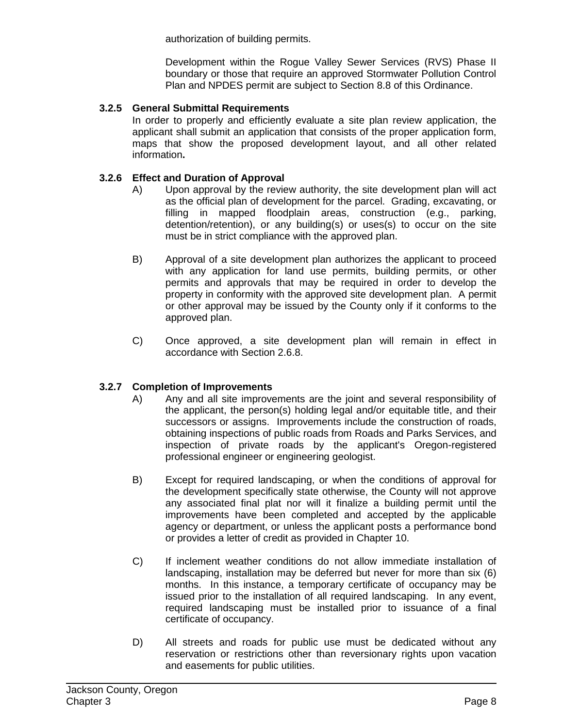authorization of building permits.

Development within the Rogue Valley Sewer Services (RVS) Phase II boundary or those that require an approved Stormwater Pollution Control Plan and NPDES permit are subject to Section 8.8 of this Ordinance.

# **3.2.5 General Submittal Requirements**

In order to properly and efficiently evaluate a site plan review application, the applicant shall submit an application that consists of the proper application form, maps that show the proposed development layout, and all other related information**.**

# **3.2.6 Effect and Duration of Approval**

- A) Upon approval by the review authority, the site development plan will act as the official plan of development for the parcel. Grading, excavating, or filling in mapped floodplain areas, construction (e.g., parking, detention/retention), or any building(s) or uses(s) to occur on the site must be in strict compliance with the approved plan.
- B) Approval of a site development plan authorizes the applicant to proceed with any application for land use permits, building permits, or other permits and approvals that may be required in order to develop the property in conformity with the approved site development plan. A permit or other approval may be issued by the County only if it conforms to the approved plan.
- C) Once approved, a site development plan will remain in effect in accordance with Section 2.6.8.

### **3.2.7 Completion of Improvements**

- A) Any and all site improvements are the joint and several responsibility of the applicant, the person(s) holding legal and/or equitable title, and their successors or assigns. Improvements include the construction of roads, obtaining inspections of public roads from Roads and Parks Services, and inspection of private roads by the applicant's Oregon-registered professional engineer or engineering geologist.
- B) Except for required landscaping, or when the conditions of approval for the development specifically state otherwise, the County will not approve any associated final plat nor will it finalize a building permit until the improvements have been completed and accepted by the applicable agency or department, or unless the applicant posts a performance bond or provides a letter of credit as provided in Chapter 10.
- C) If inclement weather conditions do not allow immediate installation of landscaping, installation may be deferred but never for more than six (6) months. In this instance, a temporary certificate of occupancy may be issued prior to the installation of all required landscaping. In any event, required landscaping must be installed prior to issuance of a final certificate of occupancy.
- D) All streets and roads for public use must be dedicated without any reservation or restrictions other than reversionary rights upon vacation and easements for public utilities.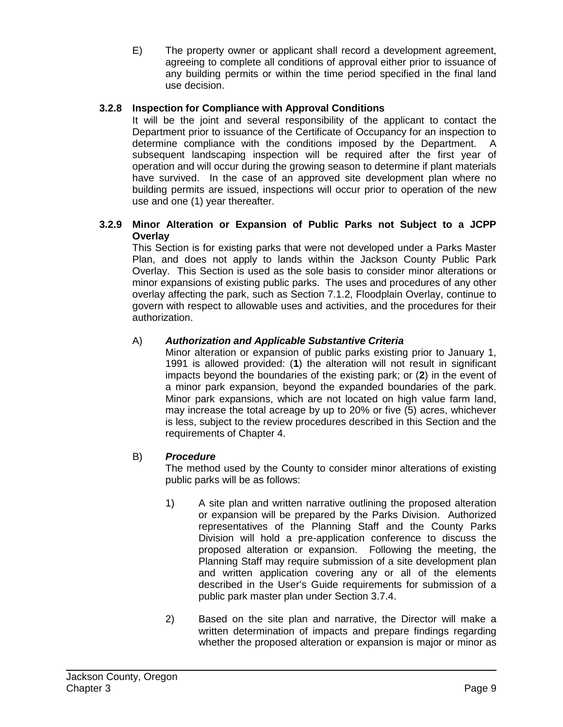E) The property owner or applicant shall record a development agreement, agreeing to complete all conditions of approval either prior to issuance of any building permits or within the time period specified in the final land use decision.

# **3.2.8 Inspection for Compliance with Approval Conditions**

It will be the joint and several responsibility of the applicant to contact the Department prior to issuance of the Certificate of Occupancy for an inspection to determine compliance with the conditions imposed by the Department. A subsequent landscaping inspection will be required after the first year of operation and will occur during the growing season to determine if plant materials have survived. In the case of an approved site development plan where no building permits are issued, inspections will occur prior to operation of the new use and one (1) year thereafter.

### **3.2.9 Minor Alteration or Expansion of Public Parks not Subject to a JCPP Overlay**

This Section is for existing parks that were not developed under a Parks Master Plan, and does not apply to lands within the Jackson County Public Park Overlay. This Section is used as the sole basis to consider minor alterations or minor expansions of existing public parks. The uses and procedures of any other overlay affecting the park, such as Section 7.1.2, Floodplain Overlay, continue to govern with respect to allowable uses and activities, and the procedures for their authorization.

# A) *Authorization and Applicable Substantive Criteria*

Minor alteration or expansion of public parks existing prior to January 1, 1991 is allowed provided: (**1**) the alteration will not result in significant impacts beyond the boundaries of the existing park; or (**2**) in the event of a minor park expansion, beyond the expanded boundaries of the park. Minor park expansions, which are not located on high value farm land, may increase the total acreage by up to 20% or five (5) acres, whichever is less, subject to the review procedures described in this Section and the requirements of Chapter 4.

### B) *Procedure*

The method used by the County to consider minor alterations of existing public parks will be as follows:

- 1) A site plan and written narrative outlining the proposed alteration or expansion will be prepared by the Parks Division. Authorized representatives of the Planning Staff and the County Parks Division will hold a pre-application conference to discuss the proposed alteration or expansion. Following the meeting, the Planning Staff may require submission of a site development plan and written application covering any or all of the elements described in the User's Guide requirements for submission of a public park master plan under Section 3.7.4.
- 2) Based on the site plan and narrative, the Director will make a written determination of impacts and prepare findings regarding whether the proposed alteration or expansion is major or minor as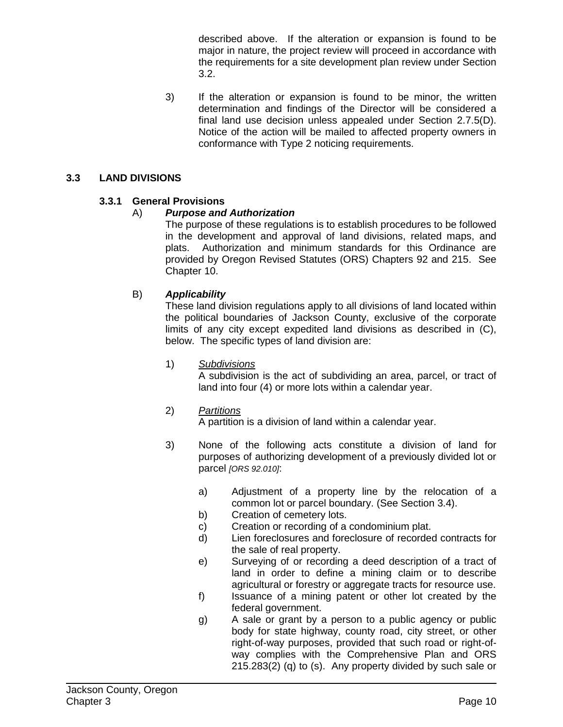described above. If the alteration or expansion is found to be major in nature, the project review will proceed in accordance with the requirements for a site development plan review under Section 3.2.

3) If the alteration or expansion is found to be minor, the written determination and findings of the Director will be considered a final land use decision unless appealed under Section 2.7.5(D). Notice of the action will be mailed to affected property owners in conformance with Type 2 noticing requirements.

# **3.3 LAND DIVISIONS**

# **3.3.1 General Provisions**

# A) *Purpose and Authorization*

The purpose of these regulations is to establish procedures to be followed in the development and approval of land divisions, related maps, and plats. Authorization and minimum standards for this Ordinance are provided by Oregon Revised Statutes (ORS) Chapters 92 and 215. See Chapter 10.

# B) *Applicability*

These land division regulations apply to all divisions of land located within the political boundaries of Jackson County, exclusive of the corporate limits of any city except expedited land divisions as described in (C), below. The specific types of land division are:

### 1) *Subdivisions*

A subdivision is the act of subdividing an area, parcel, or tract of land into four (4) or more lots within a calendar year.

### 2) *Partitions*

A partition is a division of land within a calendar year.

- 3) None of the following acts constitute a division of land for purposes of authorizing development of a previously divided lot or parcel *[ORS 92.010]*:
	- a) Adjustment of a property line by the relocation of a common lot or parcel boundary. (See Section 3.4).
	- b) Creation of cemetery lots.
	- c) Creation or recording of a condominium plat.
	- d) Lien foreclosures and foreclosure of recorded contracts for the sale of real property.
	- e) Surveying of or recording a deed description of a tract of land in order to define a mining claim or to describe agricultural or forestry or aggregate tracts for resource use.
	- f) Issuance of a mining patent or other lot created by the federal government.
	- g) A sale or grant by a person to a public agency or public body for state highway, county road, city street, or other right-of-way purposes, provided that such road or right-ofway complies with the Comprehensive Plan and ORS 215.283(2) (q) to (s). Any property divided by such sale or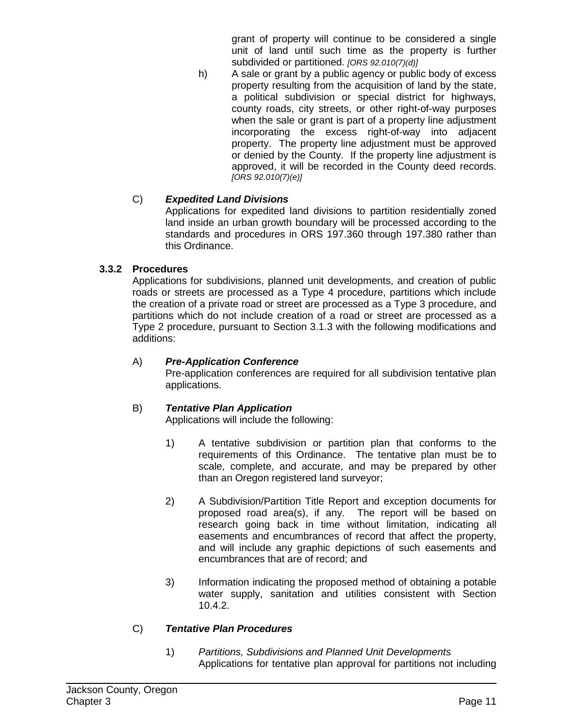grant of property will continue to be considered a single unit of land until such time as the property is further subdivided or partitioned. *[ORS 92.010(7)(d)]*

h) A sale or grant by a public agency or public body of excess property resulting from the acquisition of land by the state, a political subdivision or special district for highways, county roads, city streets, or other right-of-way purposes when the sale or grant is part of a property line adjustment incorporating the excess right-of-way into adjacent property. The property line adjustment must be approved or denied by the County. If the property line adjustment is approved, it will be recorded in the County deed records. *[ORS 92.010(7)(e)]*

# C) *Expedited Land Divisions*

Applications for expedited land divisions to partition residentially zoned land inside an urban growth boundary will be processed according to the standards and procedures in ORS 197.360 through 197.380 rather than this Ordinance.

# **3.3.2 Procedures**

Applications for subdivisions, planned unit developments, and creation of public roads or streets are processed as a Type 4 procedure, partitions which include the creation of a private road or street are processed as a Type 3 procedure, and partitions which do not include creation of a road or street are processed as a Type 2 procedure, pursuant to Section 3.1.3 with the following modifications and additions:

# A) *Pre-Application Conference*

Pre-application conferences are required for all subdivision tentative plan applications.

# B) *Tentative Plan Application*

Applications will include the following:

- 1) A tentative subdivision or partition plan that conforms to the requirements of this Ordinance. The tentative plan must be to scale, complete, and accurate, and may be prepared by other than an Oregon registered land surveyor;
- 2) A Subdivision/Partition Title Report and exception documents for proposed road area(s), if any. The report will be based on research going back in time without limitation, indicating all easements and encumbrances of record that affect the property, and will include any graphic depictions of such easements and encumbrances that are of record; and
- 3) Information indicating the proposed method of obtaining a potable water supply, sanitation and utilities consistent with Section 10.4.2.

# C) *Tentative Plan Procedures*

1) *Partitions, Subdivisions and Planned Unit Developments* Applications for tentative plan approval for partitions not including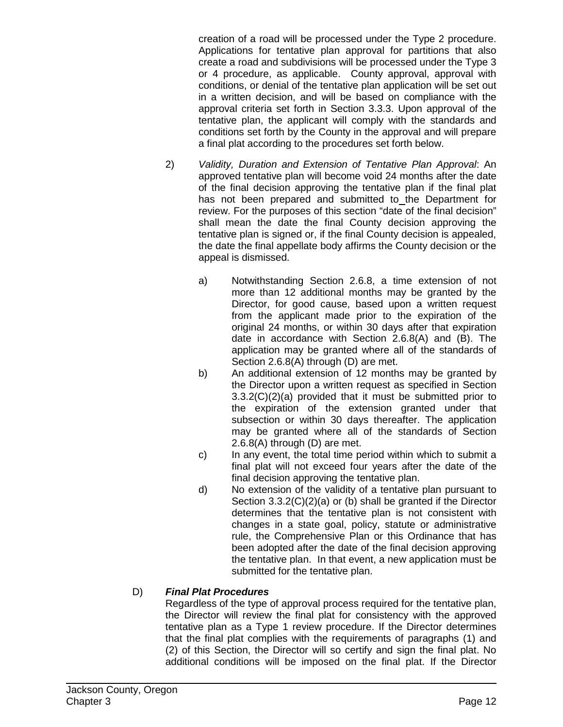creation of a road will be processed under the Type 2 procedure. Applications for tentative plan approval for partitions that also create a road and subdivisions will be processed under the Type 3 or 4 procedure, as applicable. County approval, approval with conditions, or denial of the tentative plan application will be set out in a written decision, and will be based on compliance with the approval criteria set forth in Section 3.3.3. Upon approval of the tentative plan, the applicant will comply with the standards and conditions set forth by the County in the approval and will prepare a final plat according to the procedures set forth below.

- 2) *Validity, Duration and Extension of Tentative Plan Approval*: An approved tentative plan will become void 24 months after the date of the final decision approving the tentative plan if the final plat has not been prepared and submitted to the Department for review. For the purposes of this section "date of the final decision" shall mean the date the final County decision approving the tentative plan is signed or, if the final County decision is appealed, the date the final appellate body affirms the County decision or the appeal is dismissed.
	- a) Notwithstanding Section 2.6.8, a time extension of not more than 12 additional months may be granted by the Director, for good cause, based upon a written request from the applicant made prior to the expiration of the original 24 months, or within 30 days after that expiration date in accordance with Section 2.6.8(A) and (B). The application may be granted where all of the standards of Section 2.6.8(A) through (D) are met.
	- b) An additional extension of 12 months may be granted by the Director upon a written request as specified in Section 3.3.2(C)(2)(a) provided that it must be submitted prior to the expiration of the extension granted under that subsection or within 30 days thereafter. The application may be granted where all of the standards of Section 2.6.8(A) through (D) are met.
	- c) In any event, the total time period within which to submit a final plat will not exceed four years after the date of the final decision approving the tentative plan.
	- d) No extension of the validity of a tentative plan pursuant to Section 3.3.2(C)(2)(a) or (b) shall be granted if the Director determines that the tentative plan is not consistent with changes in a state goal, policy, statute or administrative rule, the Comprehensive Plan or this Ordinance that has been adopted after the date of the final decision approving the tentative plan. In that event, a new application must be submitted for the tentative plan.

# D) *Final Plat Procedures*

Regardless of the type of approval process required for the tentative plan, the Director will review the final plat for consistency with the approved tentative plan as a Type 1 review procedure. If the Director determines that the final plat complies with the requirements of paragraphs (1) and (2) of this Section, the Director will so certify and sign the final plat. No additional conditions will be imposed on the final plat. If the Director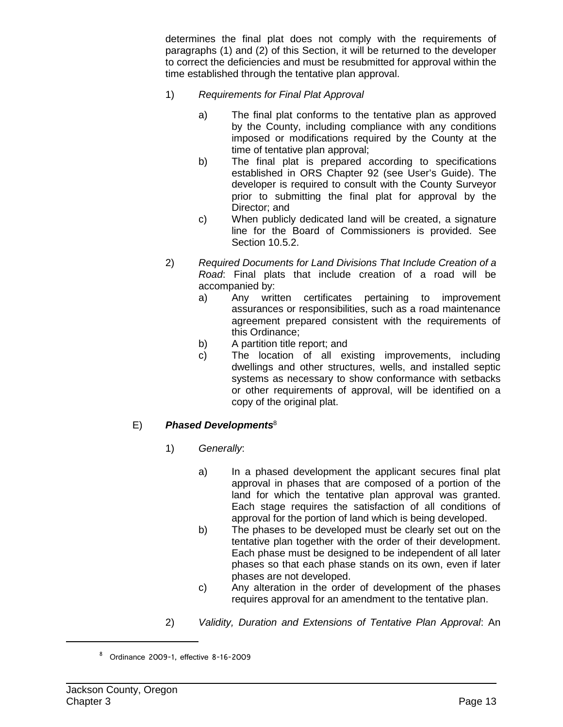determines the final plat does not comply with the requirements of paragraphs (1) and (2) of this Section, it will be returned to the developer to correct the deficiencies and must be resubmitted for approval within the time established through the tentative plan approval.

- 1) *Requirements for Final Plat Approval*
	- a) The final plat conforms to the tentative plan as approved by the County, including compliance with any conditions imposed or modifications required by the County at the time of tentative plan approval;
	- b) The final plat is prepared according to specifications established in ORS Chapter 92 (see User's Guide). The developer is required to consult with the County Surveyor prior to submitting the final plat for approval by the Director; and
	- c) When publicly dedicated land will be created, a signature line for the Board of Commissioners is provided. See Section 10.5.2.
- 2) *Required Documents for Land Divisions That Include Creation of a Road*: Final plats that include creation of a road will be accompanied by:
	- a) Any written certificates pertaining to improvement assurances or responsibilities, such as a road maintenance agreement prepared consistent with the requirements of this Ordinance;
	- b) A partition title report; and
	- c) The location of all existing improvements, including dwellings and other structures, wells, and installed septic systems as necessary to show conformance with setbacks or other requirements of approval, will be identified on a copy of the original plat.

# E) *Phased Developments*<sup>8</sup>

- 1) *Generally*:
	- a) In a phased development the applicant secures final plat approval in phases that are composed of a portion of the land for which the tentative plan approval was granted. Each stage requires the satisfaction of all conditions of approval for the portion of land which is being developed.
	- b) The phases to be developed must be clearly set out on the tentative plan together with the order of their development. Each phase must be designed to be independent of all later phases so that each phase stands on its own, even if later phases are not developed.
	- c) Any alteration in the order of development of the phases requires approval for an amendment to the tentative plan.
- 2) *Validity, Duration and Extensions of Tentative Plan Approval*: An

<sup>8</sup> Ordinance 2009-1, effective 8-16-2009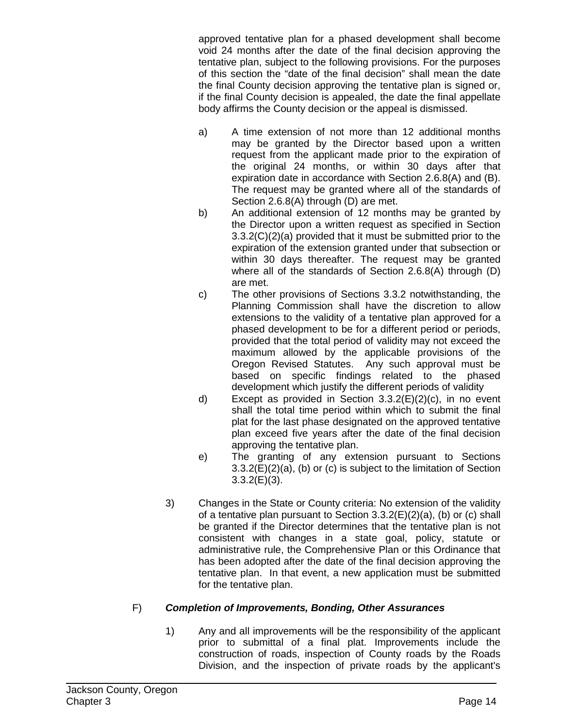approved tentative plan for a phased development shall become void 24 months after the date of the final decision approving the tentative plan, subject to the following provisions. For the purposes of this section the "date of the final decision" shall mean the date the final County decision approving the tentative plan is signed or, if the final County decision is appealed, the date the final appellate body affirms the County decision or the appeal is dismissed.

- a) A time extension of not more than 12 additional months may be granted by the Director based upon a written request from the applicant made prior to the expiration of the original 24 months, or within 30 days after that expiration date in accordance with Section 2.6.8(A) and (B). The request may be granted where all of the standards of Section 2.6.8(A) through (D) are met.
- b) An additional extension of 12 months may be granted by the Director upon a written request as specified in Section 3.3.2(C)(2)(a) provided that it must be submitted prior to the expiration of the extension granted under that subsection or within 30 days thereafter. The request may be granted where all of the standards of Section 2.6.8(A) through (D) are met.
- c) The other provisions of Sections 3.3.2 notwithstanding, the Planning Commission shall have the discretion to allow extensions to the validity of a tentative plan approved for a phased development to be for a different period or periods, provided that the total period of validity may not exceed the maximum allowed by the applicable provisions of the Oregon Revised Statutes. Any such approval must be based on specific findings related to the phased development which justify the different periods of validity
- d) Except as provided in Section 3.3.2(E)(2)(c), in no event shall the total time period within which to submit the final plat for the last phase designated on the approved tentative plan exceed five years after the date of the final decision approving the tentative plan.
- e) The granting of any extension pursuant to Sections 3.3.2(E)(2)(a), (b) or (c) is subject to the limitation of Section 3.3.2(E)(3).
- 3) Changes in the State or County criteria: No extension of the validity of a tentative plan pursuant to Section 3.3.2(E)(2)(a), (b) or (c) shall be granted if the Director determines that the tentative plan is not consistent with changes in a state goal, policy, statute or administrative rule, the Comprehensive Plan or this Ordinance that has been adopted after the date of the final decision approving the tentative plan. In that event, a new application must be submitted for the tentative plan.

# F) *Completion of Improvements, Bonding, Other Assurances*

1) Any and all improvements will be the responsibility of the applicant prior to submittal of a final plat. Improvements include the construction of roads, inspection of County roads by the Roads Division, and the inspection of private roads by the applicant's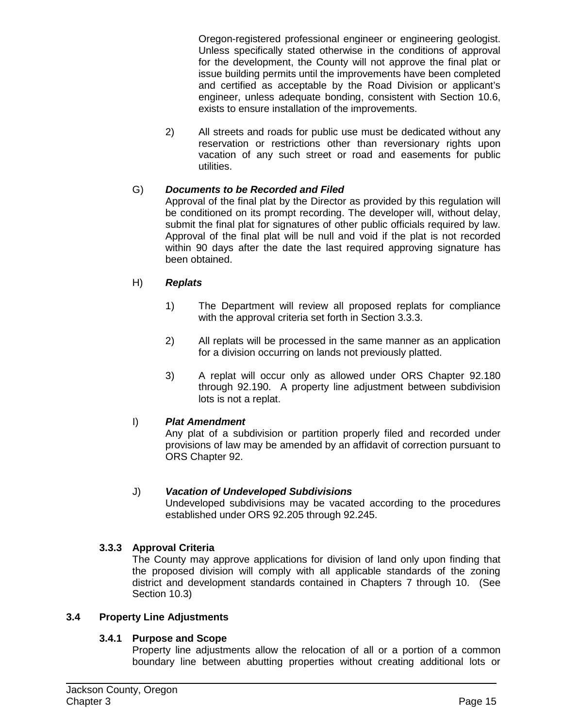Oregon-registered professional engineer or engineering geologist. Unless specifically stated otherwise in the conditions of approval for the development, the County will not approve the final plat or issue building permits until the improvements have been completed and certified as acceptable by the Road Division or applicant's engineer, unless adequate bonding, consistent with Section 10.6, exists to ensure installation of the improvements.

2) All streets and roads for public use must be dedicated without any reservation or restrictions other than reversionary rights upon vacation of any such street or road and easements for public utilities.

# G) *Documents to be Recorded and Filed*

Approval of the final plat by the Director as provided by this regulation will be conditioned on its prompt recording. The developer will, without delay, submit the final plat for signatures of other public officials required by law. Approval of the final plat will be null and void if the plat is not recorded within 90 days after the date the last required approving signature has been obtained.

### H) *Replats*

- 1) The Department will review all proposed replats for compliance with the approval criteria set forth in Section 3.3.3.
- 2) All replats will be processed in the same manner as an application for a division occurring on lands not previously platted.
- 3) A replat will occur only as allowed under ORS Chapter 92.180 through 92.190. A property line adjustment between subdivision lots is not a replat.

### I) *Plat Amendment*

Any plat of a subdivision or partition properly filed and recorded under provisions of law may be amended by an affidavit of correction pursuant to ORS Chapter 92.

### J) *Vacation of Undeveloped Subdivisions*

Undeveloped subdivisions may be vacated according to the procedures established under ORS 92.205 through 92.245.

# **3.3.3 Approval Criteria**

The County may approve applications for division of land only upon finding that the proposed division will comply with all applicable standards of the zoning district and development standards contained in Chapters 7 through 10. (See Section 10.3)

### **3.4 Property Line Adjustments**

### **3.4.1 Purpose and Scope**

Property line adjustments allow the relocation of all or a portion of a common boundary line between abutting properties without creating additional lots or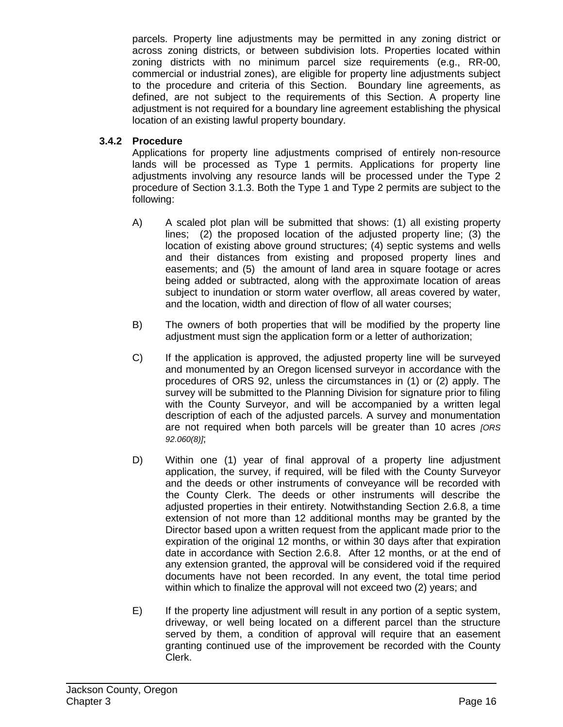parcels. Property line adjustments may be permitted in any zoning district or across zoning districts, or between subdivision lots. Properties located within zoning districts with no minimum parcel size requirements (e.g., RR-00, commercial or industrial zones), are eligible for property line adjustments subject to the procedure and criteria of this Section. Boundary line agreements, as defined, are not subject to the requirements of this Section. A property line adjustment is not required for a boundary line agreement establishing the physical location of an existing lawful property boundary.

# **3.4.2 Procedure**

Applications for property line adjustments comprised of entirely non-resource lands will be processed as Type 1 permits. Applications for property line adjustments involving any resource lands will be processed under the Type 2 procedure of Section 3.1.3. Both the Type 1 and Type 2 permits are subject to the following:

- A) A scaled plot plan will be submitted that shows: (1) all existing property lines; (2) the proposed location of the adjusted property line; (3) the location of existing above ground structures; (4) septic systems and wells and their distances from existing and proposed property lines and easements; and (5) the amount of land area in square footage or acres being added or subtracted, along with the approximate location of areas subject to inundation or storm water overflow, all areas covered by water, and the location, width and direction of flow of all water courses;
- B) The owners of both properties that will be modified by the property line adjustment must sign the application form or a letter of authorization;
- C) If the application is approved, the adjusted property line will be surveyed and monumented by an Oregon licensed surveyor in accordance with the procedures of ORS 92, unless the circumstances in (1) or (2) apply. The survey will be submitted to the Planning Division for signature prior to filing with the County Surveyor, and will be accompanied by a written legal description of each of the adjusted parcels. A survey and monumentation are not required when both parcels will be greater than 10 acres *[ORS 92.060(8)]*;
- D) Within one (1) year of final approval of a property line adjustment application, the survey, if required, will be filed with the County Surveyor and the deeds or other instruments of conveyance will be recorded with the County Clerk. The deeds or other instruments will describe the adjusted properties in their entirety. Notwithstanding Section 2.6.8, a time extension of not more than 12 additional months may be granted by the Director based upon a written request from the applicant made prior to the expiration of the original 12 months, or within 30 days after that expiration date in accordance with Section 2.6.8. After 12 months, or at the end of any extension granted, the approval will be considered void if the required documents have not been recorded. In any event, the total time period within which to finalize the approval will not exceed two (2) years; and
- E) If the property line adjustment will result in any portion of a septic system, driveway, or well being located on a different parcel than the structure served by them, a condition of approval will require that an easement granting continued use of the improvement be recorded with the County Clerk.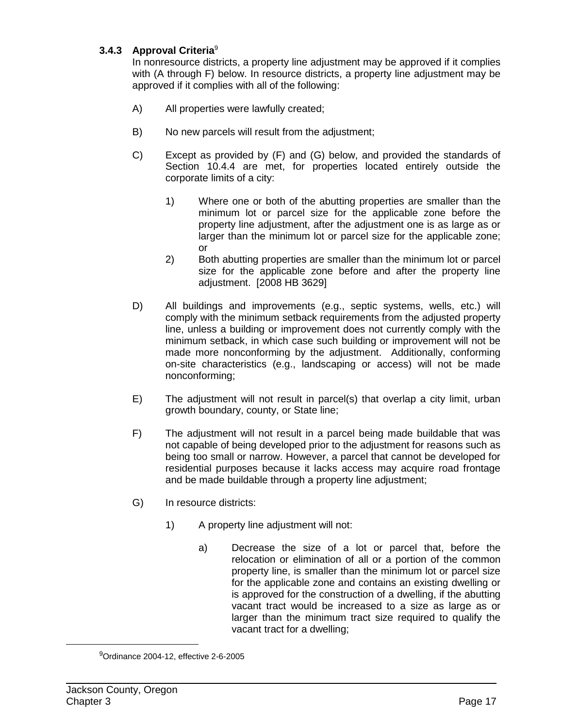# **3.4.3 Approval Criteria**<sup>9</sup>

In nonresource districts, a property line adjustment may be approved if it complies with (A through F) below. In resource districts, a property line adjustment may be approved if it complies with all of the following:

- A) All properties were lawfully created;
- B) No new parcels will result from the adjustment;
- C) Except as provided by (F) and (G) below, and provided the standards of Section 10.4.4 are met, for properties located entirely outside the corporate limits of a city:
	- 1) Where one or both of the abutting properties are smaller than the minimum lot or parcel size for the applicable zone before the property line adjustment, after the adjustment one is as large as or larger than the minimum lot or parcel size for the applicable zone; or
	- 2) Both abutting properties are smaller than the minimum lot or parcel size for the applicable zone before and after the property line adjustment. [2008 HB 3629]
- D) All buildings and improvements (e.g., septic systems, wells, etc.) will comply with the minimum setback requirements from the adjusted property line, unless a building or improvement does not currently comply with the minimum setback, in which case such building or improvement will not be made more nonconforming by the adjustment. Additionally, conforming on-site characteristics (e.g., landscaping or access) will not be made nonconforming;
- E) The adjustment will not result in parcel(s) that overlap a city limit, urban growth boundary, county, or State line;
- F) The adjustment will not result in a parcel being made buildable that was not capable of being developed prior to the adjustment for reasons such as being too small or narrow. However, a parcel that cannot be developed for residential purposes because it lacks access may acquire road frontage and be made buildable through a property line adjustment;
- G) In resource districts:
	- 1) A property line adjustment will not:
		- a) Decrease the size of a lot or parcel that, before the relocation or elimination of all or a portion of the common property line, is smaller than the minimum lot or parcel size for the applicable zone and contains an existing dwelling or is approved for the construction of a dwelling, if the abutting vacant tract would be increased to a size as large as or larger than the minimum tract size required to qualify the vacant tract for a dwelling;

<sup>9</sup> Ordinance 2004-12, effective 2-6-2005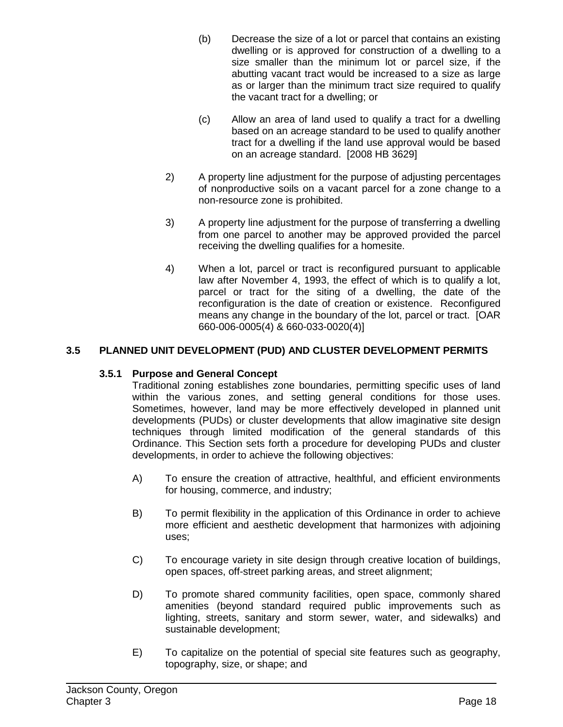- (b) Decrease the size of a lot or parcel that contains an existing dwelling or is approved for construction of a dwelling to a size smaller than the minimum lot or parcel size, if the abutting vacant tract would be increased to a size as large as or larger than the minimum tract size required to qualify the vacant tract for a dwelling; or
- (c) Allow an area of land used to qualify a tract for a dwelling based on an acreage standard to be used to qualify another tract for a dwelling if the land use approval would be based on an acreage standard. [2008 HB 3629]
- 2) A property line adjustment for the purpose of adjusting percentages of nonproductive soils on a vacant parcel for a zone change to a non-resource zone is prohibited.
- 3) A property line adjustment for the purpose of transferring a dwelling from one parcel to another may be approved provided the parcel receiving the dwelling qualifies for a homesite.
- 4) When a lot, parcel or tract is reconfigured pursuant to applicable law after November 4, 1993, the effect of which is to qualify a lot, parcel or tract for the siting of a dwelling, the date of the reconfiguration is the date of creation or existence. Reconfigured means any change in the boundary of the lot, parcel or tract. [OAR 660-006-0005(4) & 660-033-0020(4)]

# **3.5 PLANNED UNIT DEVELOPMENT (PUD) AND CLUSTER DEVELOPMENT PERMITS**

### **3.5.1 Purpose and General Concept**

Traditional zoning establishes zone boundaries, permitting specific uses of land within the various zones, and setting general conditions for those uses. Sometimes, however, land may be more effectively developed in planned unit developments (PUDs) or cluster developments that allow imaginative site design techniques through limited modification of the general standards of this Ordinance. This Section sets forth a procedure for developing PUDs and cluster developments, in order to achieve the following objectives:

- A) To ensure the creation of attractive, healthful, and efficient environments for housing, commerce, and industry;
- B) To permit flexibility in the application of this Ordinance in order to achieve more efficient and aesthetic development that harmonizes with adjoining uses;
- C) To encourage variety in site design through creative location of buildings, open spaces, off-street parking areas, and street alignment;
- D) To promote shared community facilities, open space, commonly shared amenities (beyond standard required public improvements such as lighting, streets, sanitary and storm sewer, water, and sidewalks) and sustainable development;
- E) To capitalize on the potential of special site features such as geography, topography, size, or shape; and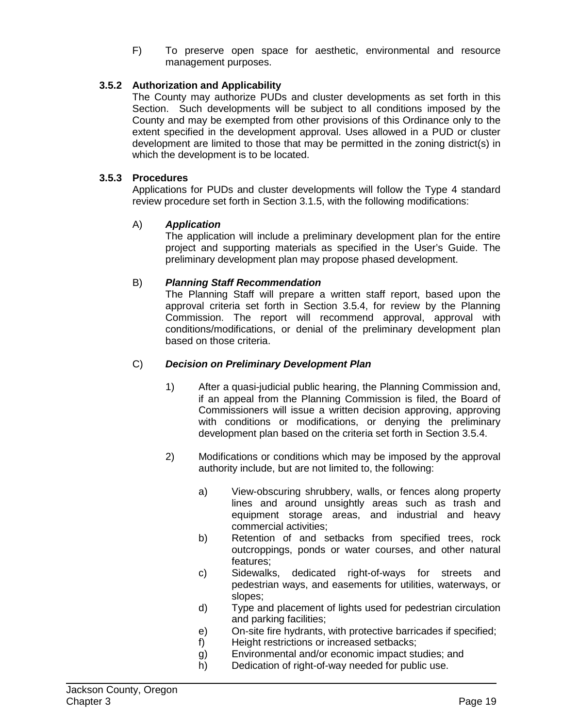F) To preserve open space for aesthetic, environmental and resource management purposes.

# **3.5.2 Authorization and Applicability**

The County may authorize PUDs and cluster developments as set forth in this Section. Such developments will be subject to all conditions imposed by the County and may be exempted from other provisions of this Ordinance only to the extent specified in the development approval. Uses allowed in a PUD or cluster development are limited to those that may be permitted in the zoning district(s) in which the development is to be located.

### **3.5.3 Procedures**

Applications for PUDs and cluster developments will follow the Type 4 standard review procedure set forth in Section 3.1.5, with the following modifications:

### A) *Application*

The application will include a preliminary development plan for the entire project and supporting materials as specified in the User's Guide. The preliminary development plan may propose phased development.

### B) *Planning Staff Recommendation*

The Planning Staff will prepare a written staff report, based upon the approval criteria set forth in Section 3.5.4, for review by the Planning Commission. The report will recommend approval, approval with conditions/modifications, or denial of the preliminary development plan based on those criteria.

#### C) *Decision on Preliminary Development Plan*

- 1) After a quasi-judicial public hearing, the Planning Commission and, if an appeal from the Planning Commission is filed, the Board of Commissioners will issue a written decision approving, approving with conditions or modifications, or denying the preliminary development plan based on the criteria set forth in Section 3.5.4.
- 2) Modifications or conditions which may be imposed by the approval authority include, but are not limited to, the following:
	- a) View-obscuring shrubbery, walls, or fences along property lines and around unsightly areas such as trash and equipment storage areas, and industrial and heavy commercial activities;
	- b) Retention of and setbacks from specified trees, rock outcroppings, ponds or water courses, and other natural features;
	- c) Sidewalks, dedicated right-of-ways for streets and pedestrian ways, and easements for utilities, waterways, or slopes;
	- d) Type and placement of lights used for pedestrian circulation and parking facilities;
	- e) On-site fire hydrants, with protective barricades if specified;
	- f) Height restrictions or increased setbacks;
	- g) Environmental and/or economic impact studies; and
	- h) Dedication of right-of-way needed for public use.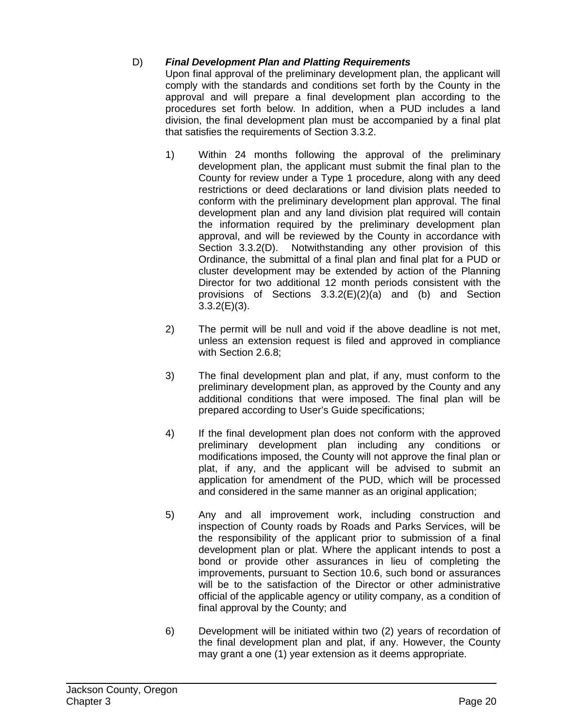# D) *Final Development Plan and Platting Requirements*

Upon final approval of the preliminary development plan, the applicant will comply with the standards and conditions set forth by the County in the approval and will prepare a final development plan according to the procedures set forth below. In addition, when a PUD includes a land division, the final development plan must be accompanied by a final plat that satisfies the requirements of Section 3.3.2.

- 1) Within 24 months following the approval of the preliminary development plan, the applicant must submit the final plan to the County for review under a Type 1 procedure, along with any deed restrictions or deed declarations or land division plats needed to conform with the preliminary development plan approval. The final development plan and any land division plat required will contain the information required by the preliminary development plan approval, and will be reviewed by the County in accordance with Section 3.3.2(D). Notwithstanding any other provision of this Ordinance, the submittal of a final plan and final plat for a PUD or cluster development may be extended by action of the Planning Director for two additional 12 month periods consistent with the provisions of Sections 3.3.2(E)(2)(a) and (b) and Section 3.3.2(E)(3).
- 2) The permit will be null and void if the above deadline is not met, unless an extension request is filed and approved in compliance with Section 2.6.8;
- 3) The final development plan and plat, if any, must conform to the preliminary development plan, as approved by the County and any additional conditions that were imposed. The final plan will be prepared according to User's Guide specifications;
- 4) If the final development plan does not conform with the approved preliminary development plan including any conditions or modifications imposed, the County will not approve the final plan or plat, if any, and the applicant will be advised to submit an application for amendment of the PUD, which will be processed and considered in the same manner as an original application;
- 5) Any and all improvement work, including construction and inspection of County roads by Roads and Parks Services, will be the responsibility of the applicant prior to submission of a final development plan or plat. Where the applicant intends to post a bond or provide other assurances in lieu of completing the improvements, pursuant to Section 10.6, such bond or assurances will be to the satisfaction of the Director or other administrative official of the applicable agency or utility company, as a condition of final approval by the County; and
- 6) Development will be initiated within two (2) years of recordation of the final development plan and plat, if any. However, the County may grant a one (1) year extension as it deems appropriate.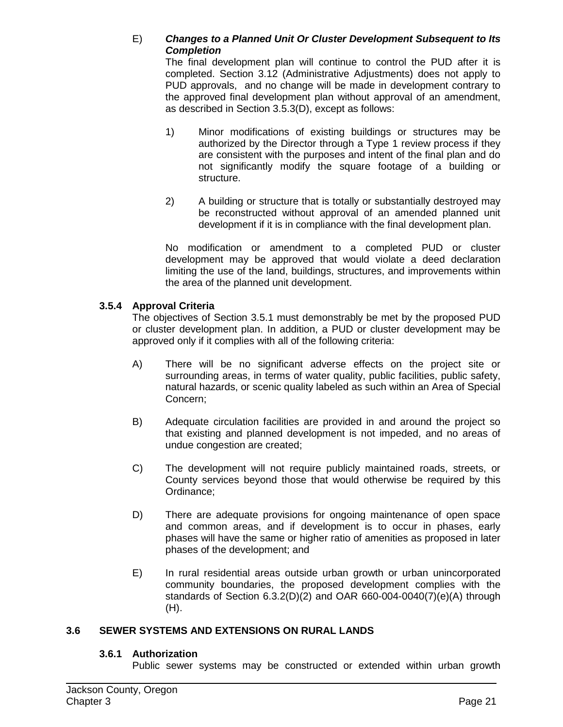### E) *Changes to a Planned Unit Or Cluster Development Subsequent to Its Completion*

The final development plan will continue to control the PUD after it is completed. Section 3.12 (Administrative Adjustments) does not apply to PUD approvals, and no change will be made in development contrary to the approved final development plan without approval of an amendment, as described in Section 3.5.3(D), except as follows:

- 1) Minor modifications of existing buildings or structures may be authorized by the Director through a Type 1 review process if they are consistent with the purposes and intent of the final plan and do not significantly modify the square footage of a building or structure.
- 2) A building or structure that is totally or substantially destroyed may be reconstructed without approval of an amended planned unit development if it is in compliance with the final development plan.

No modification or amendment to a completed PUD or cluster development may be approved that would violate a deed declaration limiting the use of the land, buildings, structures, and improvements within the area of the planned unit development.

### **3.5.4 Approval Criteria**

The objectives of Section 3.5.1 must demonstrably be met by the proposed PUD or cluster development plan. In addition, a PUD or cluster development may be approved only if it complies with all of the following criteria:

- A) There will be no significant adverse effects on the project site or surrounding areas, in terms of water quality, public facilities, public safety, natural hazards, or scenic quality labeled as such within an Area of Special Concern;
- B) Adequate circulation facilities are provided in and around the project so that existing and planned development is not impeded, and no areas of undue congestion are created;
- C) The development will not require publicly maintained roads, streets, or County services beyond those that would otherwise be required by this Ordinance;
- D) There are adequate provisions for ongoing maintenance of open space and common areas, and if development is to occur in phases, early phases will have the same or higher ratio of amenities as proposed in later phases of the development; and
- E) In rural residential areas outside urban growth or urban unincorporated community boundaries, the proposed development complies with the standards of Section 6.3.2(D)(2) and OAR 660-004-0040(7)(e)(A) through  $(H)$ .

### **3.6 SEWER SYSTEMS AND EXTENSIONS ON RURAL LANDS**

#### **3.6.1 Authorization**

Public sewer systems may be constructed or extended within urban growth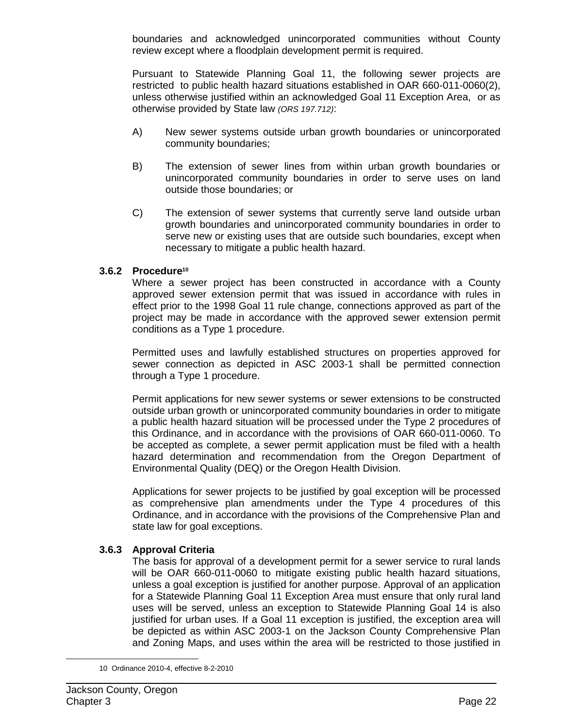boundaries and acknowledged unincorporated communities without County review except where a floodplain development permit is required.

Pursuant to Statewide Planning Goal 11, the following sewer projects are restricted to public health hazard situations established in OAR 660-011-0060(2), unless otherwise justified within an acknowledged Goal 11 Exception Area, or as otherwise provided by State law *(ORS 197.712)*:

- A) New sewer systems outside urban growth boundaries or unincorporated community boundaries;
- B) The extension of sewer lines from within urban growth boundaries or unincorporated community boundaries in order to serve uses on land outside those boundaries; or
- C) The extension of sewer systems that currently serve land outside urban growth boundaries and unincorporated community boundaries in order to serve new or existing uses that are outside such boundaries, except when necessary to mitigate a public health hazard.

### **3.6.2 Procedure10**

Where a sewer project has been constructed in accordance with a County approved sewer extension permit that was issued in accordance with rules in effect prior to the 1998 Goal 11 rule change, connections approved as part of the project may be made in accordance with the approved sewer extension permit conditions as a Type 1 procedure.

Permitted uses and lawfully established structures on properties approved for sewer connection as depicted in ASC 2003-1 shall be permitted connection through a Type 1 procedure.

Permit applications for new sewer systems or sewer extensions to be constructed outside urban growth or unincorporated community boundaries in order to mitigate a public health hazard situation will be processed under the Type 2 procedures of this Ordinance, and in accordance with the provisions of OAR 660-011-0060. To be accepted as complete, a sewer permit application must be filed with a health hazard determination and recommendation from the Oregon Department of Environmental Quality (DEQ) or the Oregon Health Division.

Applications for sewer projects to be justified by goal exception will be processed as comprehensive plan amendments under the Type 4 procedures of this Ordinance, and in accordance with the provisions of the Comprehensive Plan and state law for goal exceptions.

### **3.6.3 Approval Criteria**

The basis for approval of a development permit for a sewer service to rural lands will be OAR 660-011-0060 to mitigate existing public health hazard situations, unless a goal exception is justified for another purpose. Approval of an application for a Statewide Planning Goal 11 Exception Area must ensure that only rural land uses will be served, unless an exception to Statewide Planning Goal 14 is also justified for urban uses. If a Goal 11 exception is justified, the exception area will be depicted as within ASC 2003-1 on the Jackson County Comprehensive Plan and Zoning Maps, and uses within the area will be restricted to those justified in

<sup>10</sup> Ordinance 2010-4, effective 8-2-2010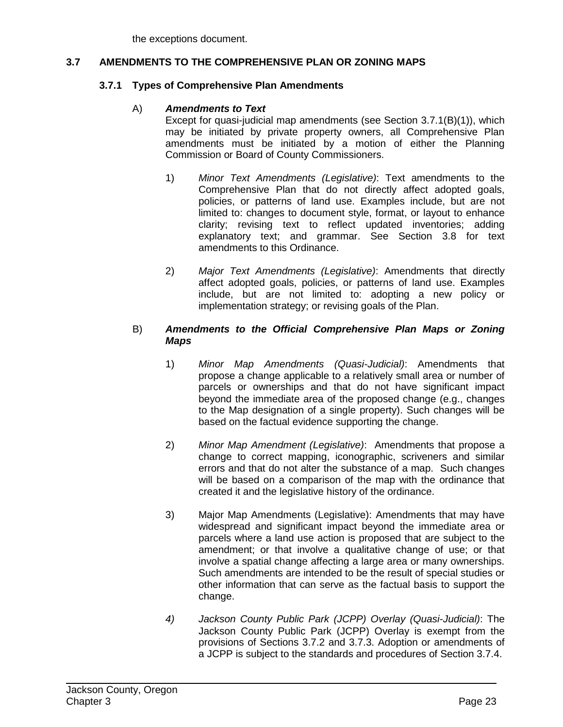the exceptions document.

#### **3.7 AMENDMENTS TO THE COMPREHENSIVE PLAN OR ZONING MAPS**

#### **3.7.1 Types of Comprehensive Plan Amendments**

#### A) *Amendments to Text*

Except for quasi-judicial map amendments (see Section 3.7.1(B)(1)), which may be initiated by private property owners, all Comprehensive Plan amendments must be initiated by a motion of either the Planning Commission or Board of County Commissioners.

- 1) *Minor Text Amendments (Legislative)*: Text amendments to the Comprehensive Plan that do not directly affect adopted goals, policies, or patterns of land use. Examples include, but are not limited to: changes to document style, format, or layout to enhance clarity; revising text to reflect updated inventories; adding explanatory text; and grammar. See Section 3.8 for text amendments to this Ordinance.
- 2) *Major Text Amendments (Legislative)*: Amendments that directly affect adopted goals, policies, or patterns of land use. Examples include, but are not limited to: adopting a new policy or implementation strategy; or revising goals of the Plan.

#### B) *Amendments to the Official Comprehensive Plan Maps or Zoning Maps*

- 1) *Minor Map Amendments (Quasi-Judicial)*: Amendments that propose a change applicable to a relatively small area or number of parcels or ownerships and that do not have significant impact beyond the immediate area of the proposed change (e.g., changes to the Map designation of a single property). Such changes will be based on the factual evidence supporting the change.
- 2) *Minor Map Amendment (Legislative)*: Amendments that propose a change to correct mapping, iconographic, scriveners and similar errors and that do not alter the substance of a map. Such changes will be based on a comparison of the map with the ordinance that created it and the legislative history of the ordinance.
- 3) Major Map Amendments (Legislative): Amendments that may have widespread and significant impact beyond the immediate area or parcels where a land use action is proposed that are subject to the amendment; or that involve a qualitative change of use; or that involve a spatial change affecting a large area or many ownerships. Such amendments are intended to be the result of special studies or other information that can serve as the factual basis to support the change.
- *4) Jackson County Public Park (JCPP) Overlay (Quasi-Judicial)*: The Jackson County Public Park (JCPP) Overlay is exempt from the provisions of Sections 3.7.2 and 3.7.3. Adoption or amendments of a JCPP is subject to the standards and procedures of Section 3.7.4.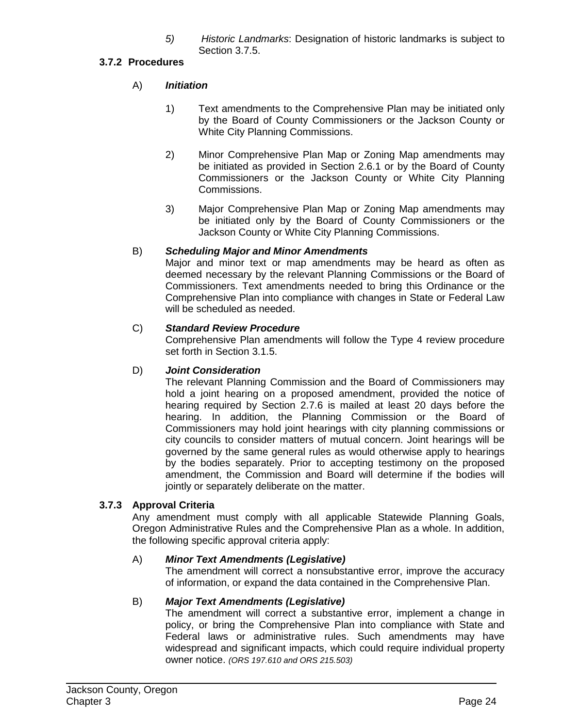*5) Historic Landmarks*: Designation of historic landmarks is subject to Section 3.7.5.

# **3.7.2 Procedures**

# A) *Initiation*

- 1) Text amendments to the Comprehensive Plan may be initiated only by the Board of County Commissioners or the Jackson County or White City Planning Commissions.
- 2) Minor Comprehensive Plan Map or Zoning Map amendments may be initiated as provided in Section 2.6.1 or by the Board of County Commissioners or the Jackson County or White City Planning Commissions.
- 3) Major Comprehensive Plan Map or Zoning Map amendments may be initiated only by the Board of County Commissioners or the Jackson County or White City Planning Commissions.

# B) *Scheduling Major and Minor Amendments*

Major and minor text or map amendments may be heard as often as deemed necessary by the relevant Planning Commissions or the Board of Commissioners. Text amendments needed to bring this Ordinance or the Comprehensive Plan into compliance with changes in State or Federal Law will be scheduled as needed.

# C) *Standard Review Procedure*

Comprehensive Plan amendments will follow the Type 4 review procedure set forth in Section 3.1.5.

# D) *Joint Consideration*

The relevant Planning Commission and the Board of Commissioners may hold a joint hearing on a proposed amendment, provided the notice of hearing required by Section 2.7.6 is mailed at least 20 days before the hearing. In addition, the Planning Commission or the Board of Commissioners may hold joint hearings with city planning commissions or city councils to consider matters of mutual concern. Joint hearings will be governed by the same general rules as would otherwise apply to hearings by the bodies separately. Prior to accepting testimony on the proposed amendment, the Commission and Board will determine if the bodies will jointly or separately deliberate on the matter.

# **3.7.3 Approval Criteria**

Any amendment must comply with all applicable Statewide Planning Goals, Oregon Administrative Rules and the Comprehensive Plan as a whole. In addition, the following specific approval criteria apply:

### A) *Minor Text Amendments (Legislative)*

The amendment will correct a nonsubstantive error, improve the accuracy of information, or expand the data contained in the Comprehensive Plan.

# B) *Major Text Amendments (Legislative)*

The amendment will correct a substantive error, implement a change in policy, or bring the Comprehensive Plan into compliance with State and Federal laws or administrative rules. Such amendments may have widespread and significant impacts, which could require individual property owner notice. *(ORS 197.610 and ORS 215.503)*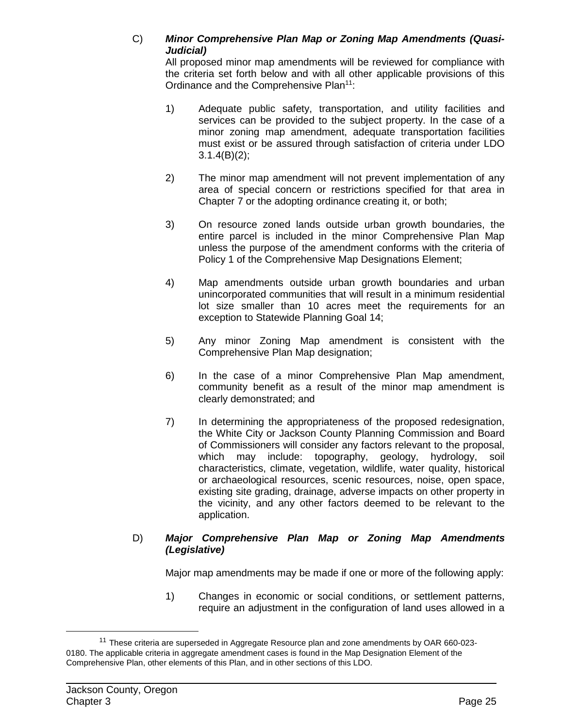### C) *Minor Comprehensive Plan Map or Zoning Map Amendments (Quasi-Judicial)*

All proposed minor map amendments will be reviewed for compliance with the criteria set forth below and with all other applicable provisions of this Ordinance and the Comprehensive Plan<sup>11</sup>:

- 1) Adequate public safety, transportation, and utility facilities and services can be provided to the subject property. In the case of a minor zoning map amendment, adequate transportation facilities must exist or be assured through satisfaction of criteria under LDO  $3.1.4(B)(2)$ ;
- 2) The minor map amendment will not prevent implementation of any area of special concern or restrictions specified for that area in Chapter 7 or the adopting ordinance creating it, or both;
- 3) On resource zoned lands outside urban growth boundaries, the entire parcel is included in the minor Comprehensive Plan Map unless the purpose of the amendment conforms with the criteria of Policy 1 of the Comprehensive Map Designations Element;
- 4) Map amendments outside urban growth boundaries and urban unincorporated communities that will result in a minimum residential lot size smaller than 10 acres meet the requirements for an exception to Statewide Planning Goal 14;
- 5) Any minor Zoning Map amendment is consistent with the Comprehensive Plan Map designation;
- 6) In the case of a minor Comprehensive Plan Map amendment, community benefit as a result of the minor map amendment is clearly demonstrated; and
- 7) In determining the appropriateness of the proposed redesignation, the White City or Jackson County Planning Commission and Board of Commissioners will consider any factors relevant to the proposal, which may include: topography, geology, hydrology, soil characteristics, climate, vegetation, wildlife, water quality, historical or archaeological resources, scenic resources, noise, open space, existing site grading, drainage, adverse impacts on other property in the vicinity, and any other factors deemed to be relevant to the application.

### D) *Major Comprehensive Plan Map or Zoning Map Amendments (Legislative)*

Major map amendments may be made if one or more of the following apply:

1) Changes in economic or social conditions, or settlement patterns, require an adjustment in the configuration of land uses allowed in a

 $11$  These criteria are superseded in Aggregate Resource plan and zone amendments by OAR 660-023-0180. The applicable criteria in aggregate amendment cases is found in the Map Designation Element of the Comprehensive Plan, other elements of this Plan, and in other sections of this LDO.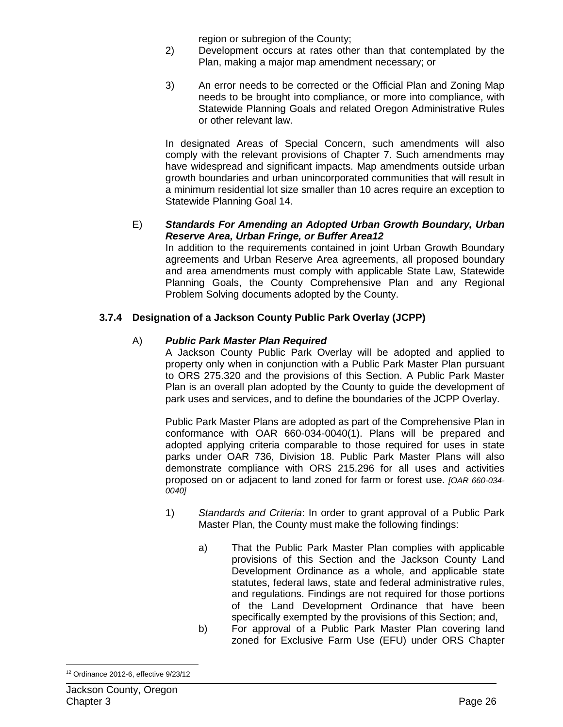region or subregion of the County;

- 2) Development occurs at rates other than that contemplated by the Plan, making a major map amendment necessary; or
- 3) An error needs to be corrected or the Official Plan and Zoning Map needs to be brought into compliance, or more into compliance, with Statewide Planning Goals and related Oregon Administrative Rules or other relevant law.

In designated Areas of Special Concern, such amendments will also comply with the relevant provisions of Chapter 7. Such amendments may have widespread and significant impacts. Map amendments outside urban growth boundaries and urban unincorporated communities that will result in a minimum residential lot size smaller than 10 acres require an exception to Statewide Planning Goal 14.

#### E) *Standards For Amending an Adopted Urban Growth Boundary, Urban Reserve Area, Urban Fringe, or Buffer Area12*

In addition to the requirements contained in joint Urban Growth Boundary agreements and Urban Reserve Area agreements, all proposed boundary and area amendments must comply with applicable State Law, Statewide Planning Goals, the County Comprehensive Plan and any Regional Problem Solving documents adopted by the County.

# **3.7.4 Designation of a Jackson County Public Park Overlay (JCPP)**

### A) *Public Park Master Plan Required*

A Jackson County Public Park Overlay will be adopted and applied to property only when in conjunction with a Public Park Master Plan pursuant to ORS 275.320 and the provisions of this Section. A Public Park Master Plan is an overall plan adopted by the County to guide the development of park uses and services, and to define the boundaries of the JCPP Overlay.

Public Park Master Plans are adopted as part of the Comprehensive Plan in conformance with OAR 660-034-0040(1). Plans will be prepared and adopted applying criteria comparable to those required for uses in state parks under OAR 736, Division 18. Public Park Master Plans will also demonstrate compliance with ORS 215.296 for all uses and activities proposed on or adjacent to land zoned for farm or forest use. *[OAR 660-034- 0040]*

- 1) *Standards and Criteria*: In order to grant approval of a Public Park Master Plan, the County must make the following findings:
	- a) That the Public Park Master Plan complies with applicable provisions of this Section and the Jackson County Land Development Ordinance as a whole, and applicable state statutes, federal laws, state and federal administrative rules, and regulations. Findings are not required for those portions of the Land Development Ordinance that have been specifically exempted by the provisions of this Section; and,
	- b) For approval of a Public Park Master Plan covering land zoned for Exclusive Farm Use (EFU) under ORS Chapter

 $\overline{a}$ <sup>12</sup> Ordinance 2012-6, effective 9/23/12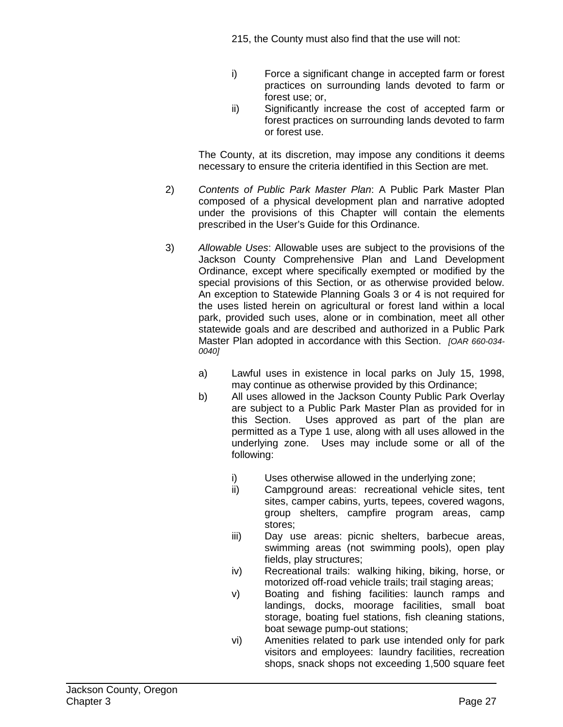- i) Force a significant change in accepted farm or forest practices on surrounding lands devoted to farm or forest use; or,
- ii) Significantly increase the cost of accepted farm or forest practices on surrounding lands devoted to farm or forest use.

The County, at its discretion, may impose any conditions it deems necessary to ensure the criteria identified in this Section are met.

- 2) *Contents of Public Park Master Plan*: A Public Park Master Plan composed of a physical development plan and narrative adopted under the provisions of this Chapter will contain the elements prescribed in the User's Guide for this Ordinance.
- 3) *Allowable Uses*: Allowable uses are subject to the provisions of the Jackson County Comprehensive Plan and Land Development Ordinance, except where specifically exempted or modified by the special provisions of this Section, or as otherwise provided below. An exception to Statewide Planning Goals 3 or 4 is not required for the uses listed herein on agricultural or forest land within a local park, provided such uses, alone or in combination, meet all other statewide goals and are described and authorized in a Public Park Master Plan adopted in accordance with this Section. *[OAR 660-034- 0040]*
	- a) Lawful uses in existence in local parks on July 15, 1998, may continue as otherwise provided by this Ordinance;
	- b) All uses allowed in the Jackson County Public Park Overlay are subject to a Public Park Master Plan as provided for in this Section. Uses approved as part of the plan are permitted as a Type 1 use, along with all uses allowed in the underlying zone. Uses may include some or all of the following:
		- i) Uses otherwise allowed in the underlying zone;<br>ii) Campground areas: recreational vehicle sites
		- Campground areas: recreational vehicle sites, tent sites, camper cabins, yurts, tepees, covered wagons, group shelters, campfire program areas, camp stores;
		- iii) Day use areas: picnic shelters, barbecue areas, swimming areas (not swimming pools), open play fields, play structures;
		- iv) Recreational trails: walking hiking, biking, horse, or motorized off-road vehicle trails; trail staging areas;
		- v) Boating and fishing facilities: launch ramps and landings, docks, moorage facilities, small boat storage, boating fuel stations, fish cleaning stations, boat sewage pump-out stations;
		- vi) Amenities related to park use intended only for park visitors and employees: laundry facilities, recreation shops, snack shops not exceeding 1,500 square feet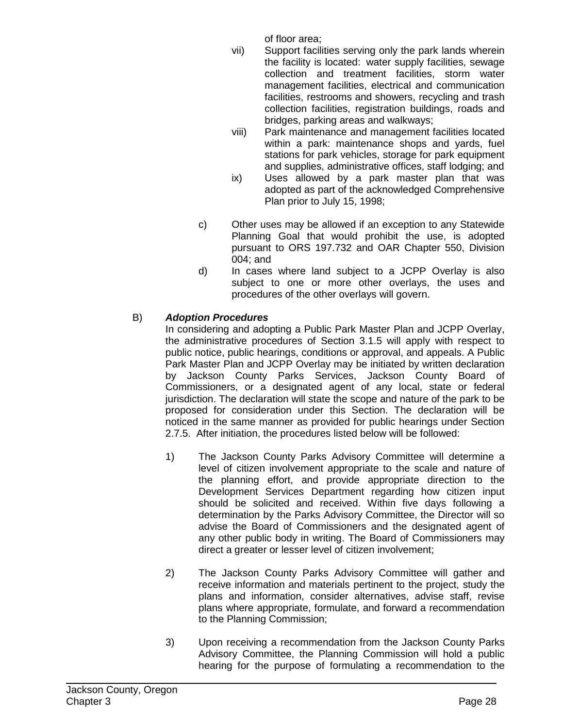of floor area;

- vii) Support facilities serving only the park lands wherein the facility is located: water supply facilities, sewage collection and treatment facilities, storm water management facilities, electrical and communication facilities, restrooms and showers, recycling and trash collection facilities, registration buildings, roads and bridges, parking areas and walkways;
- viii) Park maintenance and management facilities located within a park: maintenance shops and yards, fuel stations for park vehicles, storage for park equipment and supplies, administrative offices, staff lodging; and
- ix) Uses allowed by a park master plan that was adopted as part of the acknowledged Comprehensive Plan prior to July 15, 1998;
- c) Other uses may be allowed if an exception to any Statewide Planning Goal that would prohibit the use, is adopted pursuant to ORS 197.732 and OAR Chapter 550, Division 004; and
- d) In cases where land subject to a JCPP Overlay is also subject to one or more other overlays, the uses and procedures of the other overlays will govern.

# B) *Adoption Procedures*

In considering and adopting a Public Park Master Plan and JCPP Overlay, the administrative procedures of Section 3.1.5 will apply with respect to public notice, public hearings, conditions or approval, and appeals. A Public Park Master Plan and JCPP Overlay may be initiated by written declaration by Jackson County Parks Services, Jackson County Board of Commissioners, or a designated agent of any local, state or federal jurisdiction. The declaration will state the scope and nature of the park to be proposed for consideration under this Section. The declaration will be noticed in the same manner as provided for public hearings under Section 2.7.5. After initiation, the procedures listed below will be followed:

- 1) The Jackson County Parks Advisory Committee will determine a level of citizen involvement appropriate to the scale and nature of the planning effort, and provide appropriate direction to the Development Services Department regarding how citizen input should be solicited and received. Within five days following a determination by the Parks Advisory Committee, the Director will so advise the Board of Commissioners and the designated agent of any other public body in writing. The Board of Commissioners may direct a greater or lesser level of citizen involvement;
- 2) The Jackson County Parks Advisory Committee will gather and receive information and materials pertinent to the project, study the plans and information, consider alternatives, advise staff, revise plans where appropriate, formulate, and forward a recommendation to the Planning Commission;
- 3) Upon receiving a recommendation from the Jackson County Parks Advisory Committee, the Planning Commission will hold a public hearing for the purpose of formulating a recommendation to the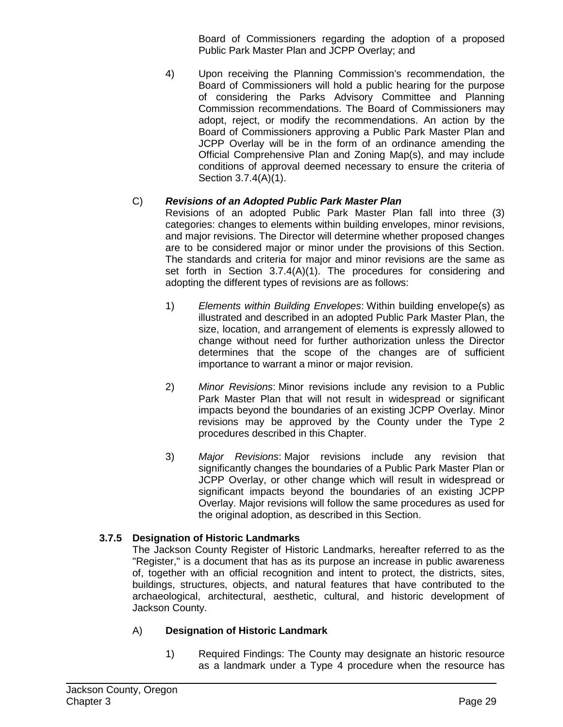Board of Commissioners regarding the adoption of a proposed Public Park Master Plan and JCPP Overlay; and

4) Upon receiving the Planning Commission's recommendation, the Board of Commissioners will hold a public hearing for the purpose of considering the Parks Advisory Committee and Planning Commission recommendations. The Board of Commissioners may adopt, reject, or modify the recommendations. An action by the Board of Commissioners approving a Public Park Master Plan and JCPP Overlay will be in the form of an ordinance amending the Official Comprehensive Plan and Zoning Map(s), and may include conditions of approval deemed necessary to ensure the criteria of Section 3.7.4(A)(1).

# C) *Revisions of an Adopted Public Park Master Plan*

Revisions of an adopted Public Park Master Plan fall into three (3) categories: changes to elements within building envelopes, minor revisions, and major revisions. The Director will determine whether proposed changes are to be considered major or minor under the provisions of this Section. The standards and criteria for major and minor revisions are the same as set forth in Section 3.7.4(A)(1). The procedures for considering and adopting the different types of revisions are as follows:

- 1) *Elements within Building Envelopes*: Within building envelope(s) as illustrated and described in an adopted Public Park Master Plan, the size, location, and arrangement of elements is expressly allowed to change without need for further authorization unless the Director determines that the scope of the changes are of sufficient importance to warrant a minor or major revision.
- 2) *Minor Revisions*: Minor revisions include any revision to a Public Park Master Plan that will not result in widespread or significant impacts beyond the boundaries of an existing JCPP Overlay. Minor revisions may be approved by the County under the Type 2 procedures described in this Chapter.
- 3) *Major Revisions*: Major revisions include any revision that significantly changes the boundaries of a Public Park Master Plan or JCPP Overlay, or other change which will result in widespread or significant impacts beyond the boundaries of an existing JCPP Overlay. Major revisions will follow the same procedures as used for the original adoption, as described in this Section.

# **3.7.5 Designation of Historic Landmarks**

The Jackson County Register of Historic Landmarks, hereafter referred to as the "Register," is a document that has as its purpose an increase in public awareness of, together with an official recognition and intent to protect, the districts, sites, buildings, structures, objects, and natural features that have contributed to the archaeological, architectural, aesthetic, cultural, and historic development of Jackson County.

# A) **Designation of Historic Landmark**

1) Required Findings: The County may designate an historic resource as a landmark under a Type 4 procedure when the resource has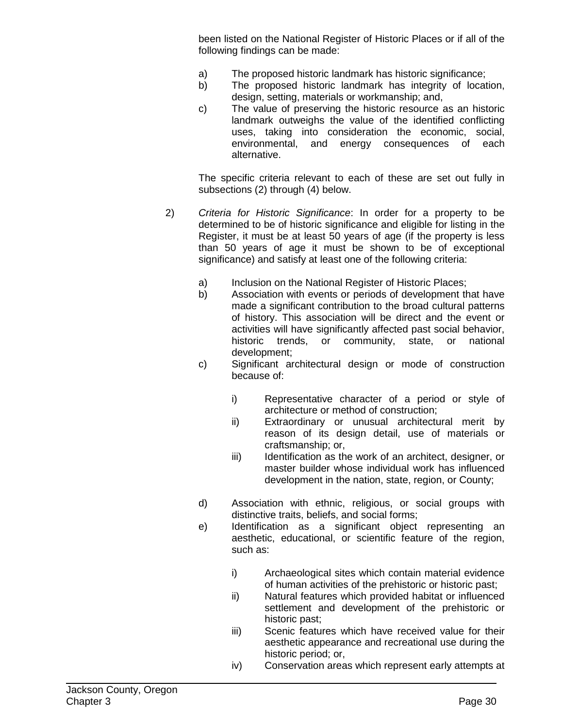been listed on the National Register of Historic Places or if all of the following findings can be made:

- a) The proposed historic landmark has historic significance;
- b) The proposed historic landmark has integrity of location, design, setting, materials or workmanship; and,
- c) The value of preserving the historic resource as an historic landmark outweighs the value of the identified conflicting uses, taking into consideration the economic, social, environmental, and energy consequences of each alternative.

The specific criteria relevant to each of these are set out fully in subsections (2) through (4) below.

- 2) *Criteria for Historic Significance*: In order for a property to be determined to be of historic significance and eligible for listing in the Register, it must be at least 50 years of age (if the property is less than 50 years of age it must be shown to be of exceptional significance) and satisfy at least one of the following criteria:
	- a) Inclusion on the National Register of Historic Places;
	- b) Association with events or periods of development that have made a significant contribution to the broad cultural patterns of history. This association will be direct and the event or activities will have significantly affected past social behavior, historic trends, or community, state, or national development;
	- c) Significant architectural design or mode of construction because of:
		- i) Representative character of a period or style of architecture or method of construction;
		- ii) Extraordinary or unusual architectural merit by reason of its design detail, use of materials or craftsmanship; or,
		- iii) Identification as the work of an architect, designer, or master builder whose individual work has influenced development in the nation, state, region, or County;
	- d) Association with ethnic, religious, or social groups with distinctive traits, beliefs, and social forms;
	- e) Identification as a significant object representing an aesthetic, educational, or scientific feature of the region, such as:
		- i) Archaeological sites which contain material evidence of human activities of the prehistoric or historic past;
		- ii) Natural features which provided habitat or influenced settlement and development of the prehistoric or historic past;
		- iii) Scenic features which have received value for their aesthetic appearance and recreational use during the historic period; or,
		- iv) Conservation areas which represent early attempts at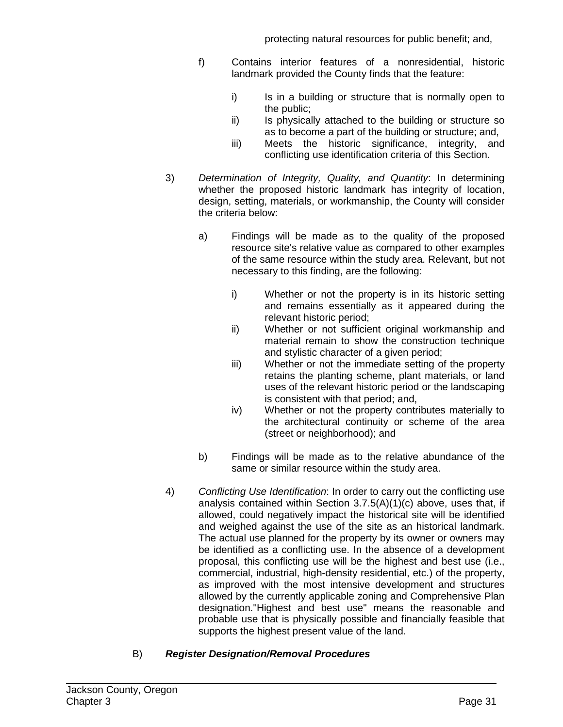- f) Contains interior features of a nonresidential, historic landmark provided the County finds that the feature:
	- i) Is in a building or structure that is normally open to the public;
	- ii) Is physically attached to the building or structure so as to become a part of the building or structure; and,
	- iii) Meets the historic significance, integrity, and conflicting use identification criteria of this Section.
- 3) *Determination of Integrity, Quality, and Quantity*: In determining whether the proposed historic landmark has integrity of location, design, setting, materials, or workmanship, the County will consider the criteria below:
	- a) Findings will be made as to the quality of the proposed resource site's relative value as compared to other examples of the same resource within the study area. Relevant, but not necessary to this finding, are the following:
		- i) Whether or not the property is in its historic setting and remains essentially as it appeared during the relevant historic period;
		- ii) Whether or not sufficient original workmanship and material remain to show the construction technique and stylistic character of a given period;
		- iii) Whether or not the immediate setting of the property retains the planting scheme, plant materials, or land uses of the relevant historic period or the landscaping is consistent with that period; and,
		- iv) Whether or not the property contributes materially to the architectural continuity or scheme of the area (street or neighborhood); and
	- b) Findings will be made as to the relative abundance of the same or similar resource within the study area.
- 4) *Conflicting Use Identification*: In order to carry out the conflicting use analysis contained within Section 3.7.5(A)(1)(c) above, uses that, if allowed, could negatively impact the historical site will be identified and weighed against the use of the site as an historical landmark. The actual use planned for the property by its owner or owners may be identified as a conflicting use. In the absence of a development proposal, this conflicting use will be the highest and best use (i.e., commercial, industrial, high-density residential, etc.) of the property, as improved with the most intensive development and structures allowed by the currently applicable zoning and Comprehensive Plan designation."Highest and best use" means the reasonable and probable use that is physically possible and financially feasible that supports the highest present value of the land.

# B) *Register Designation/Removal Procedures*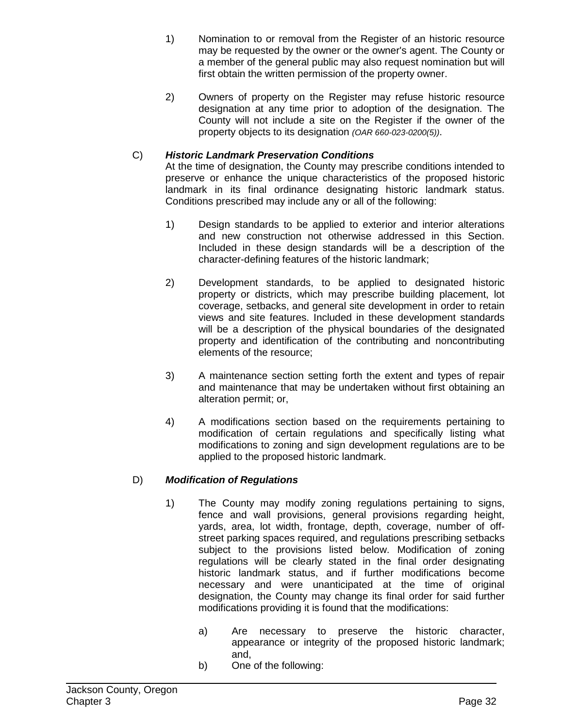- 1) Nomination to or removal from the Register of an historic resource may be requested by the owner or the owner's agent. The County or a member of the general public may also request nomination but will first obtain the written permission of the property owner.
- 2) Owners of property on the Register may refuse historic resource designation at any time prior to adoption of the designation. The County will not include a site on the Register if the owner of the property objects to its designation *(OAR 660-023-0200(5))*.

# C) *Historic Landmark Preservation Conditions*

At the time of designation, the County may prescribe conditions intended to preserve or enhance the unique characteristics of the proposed historic landmark in its final ordinance designating historic landmark status. Conditions prescribed may include any or all of the following:

- 1) Design standards to be applied to exterior and interior alterations and new construction not otherwise addressed in this Section. Included in these design standards will be a description of the character-defining features of the historic landmark;
- 2) Development standards, to be applied to designated historic property or districts, which may prescribe building placement, lot coverage, setbacks, and general site development in order to retain views and site features. Included in these development standards will be a description of the physical boundaries of the designated property and identification of the contributing and noncontributing elements of the resource;
- 3) A maintenance section setting forth the extent and types of repair and maintenance that may be undertaken without first obtaining an alteration permit; or,
- 4) A modifications section based on the requirements pertaining to modification of certain regulations and specifically listing what modifications to zoning and sign development regulations are to be applied to the proposed historic landmark.

### D) *Modification of Regulations*

- 1) The County may modify zoning regulations pertaining to signs, fence and wall provisions, general provisions regarding height, yards, area, lot width, frontage, depth, coverage, number of offstreet parking spaces required, and regulations prescribing setbacks subject to the provisions listed below. Modification of zoning regulations will be clearly stated in the final order designating historic landmark status, and if further modifications become necessary and were unanticipated at the time of original designation, the County may change its final order for said further modifications providing it is found that the modifications:
	- a) Are necessary to preserve the historic character, appearance or integrity of the proposed historic landmark; and,
	- b) One of the following: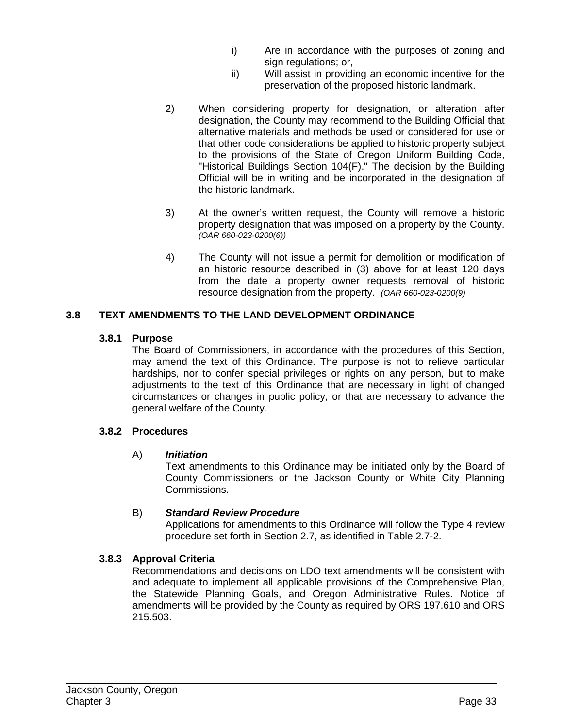- i) Are in accordance with the purposes of zoning and sign regulations; or,
- ii) Will assist in providing an economic incentive for the preservation of the proposed historic landmark.
- 2) When considering property for designation, or alteration after designation, the County may recommend to the Building Official that alternative materials and methods be used or considered for use or that other code considerations be applied to historic property subject to the provisions of the State of Oregon Uniform Building Code, "Historical Buildings Section 104(F)." The decision by the Building Official will be in writing and be incorporated in the designation of the historic landmark.
- 3) At the owner's written request, the County will remove a historic property designation that was imposed on a property by the County. *(OAR 660-023-0200(6))*
- 4) The County will not issue a permit for demolition or modification of an historic resource described in (3) above for at least 120 days from the date a property owner requests removal of historic resource designation from the property. *(OAR 660-023-0200(9)*

### **3.8 TEXT AMENDMENTS TO THE LAND DEVELOPMENT ORDINANCE**

#### **3.8.1 Purpose**

The Board of Commissioners, in accordance with the procedures of this Section, may amend the text of this Ordinance. The purpose is not to relieve particular hardships, nor to confer special privileges or rights on any person, but to make adjustments to the text of this Ordinance that are necessary in light of changed circumstances or changes in public policy, or that are necessary to advance the general welfare of the County.

#### **3.8.2 Procedures**

### A) *Initiation*

Text amendments to this Ordinance may be initiated only by the Board of County Commissioners or the Jackson County or White City Planning Commissions.

### B) *Standard Review Procedure*

Applications for amendments to this Ordinance will follow the Type 4 review procedure set forth in Section 2.7, as identified in Table 2.7-2.

### **3.8.3 Approval Criteria**

Recommendations and decisions on LDO text amendments will be consistent with and adequate to implement all applicable provisions of the Comprehensive Plan, the Statewide Planning Goals, and Oregon Administrative Rules. Notice of amendments will be provided by the County as required by ORS 197.610 and ORS 215.503.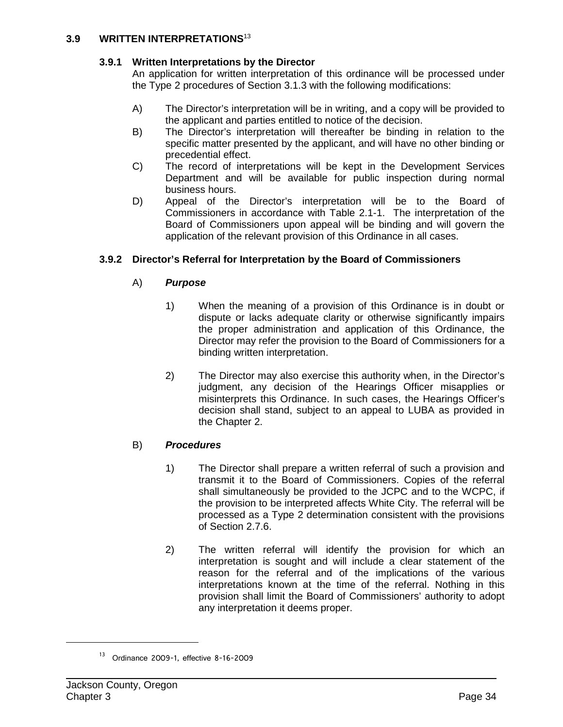#### **3.9 WRITTEN INTERPRETATIONS**<sup>13</sup>

### **3.9.1 Written Interpretations by the Director**

An application for written interpretation of this ordinance will be processed under the Type 2 procedures of Section 3.1.3 with the following modifications:

- A) The Director's interpretation will be in writing, and a copy will be provided to the applicant and parties entitled to notice of the decision.
- B) The Director's interpretation will thereafter be binding in relation to the specific matter presented by the applicant, and will have no other binding or precedential effect.
- C) The record of interpretations will be kept in the Development Services Department and will be available for public inspection during normal business hours.
- D) Appeal of the Director's interpretation will be to the Board of Commissioners in accordance with Table 2.1-1. The interpretation of the Board of Commissioners upon appeal will be binding and will govern the application of the relevant provision of this Ordinance in all cases.

### **3.9.2 Director's Referral for Interpretation by the Board of Commissioners**

# A) *Purpose*

- 1) When the meaning of a provision of this Ordinance is in doubt or dispute or lacks adequate clarity or otherwise significantly impairs the proper administration and application of this Ordinance, the Director may refer the provision to the Board of Commissioners for a binding written interpretation.
- 2) The Director may also exercise this authority when, in the Director's judgment, any decision of the Hearings Officer misapplies or misinterprets this Ordinance. In such cases, the Hearings Officer's decision shall stand, subject to an appeal to LUBA as provided in the Chapter 2.

### B) *Procedures*

- 1) The Director shall prepare a written referral of such a provision and transmit it to the Board of Commissioners. Copies of the referral shall simultaneously be provided to the JCPC and to the WCPC, if the provision to be interpreted affects White City. The referral will be processed as a Type 2 determination consistent with the provisions of Section 2.7.6.
- 2) The written referral will identify the provision for which an interpretation is sought and will include a clear statement of the reason for the referral and of the implications of the various interpretations known at the time of the referral. Nothing in this provision shall limit the Board of Commissioners' authority to adopt any interpretation it deems proper.

<sup>13</sup> Ordinance 2009-1, effective 8-16-2009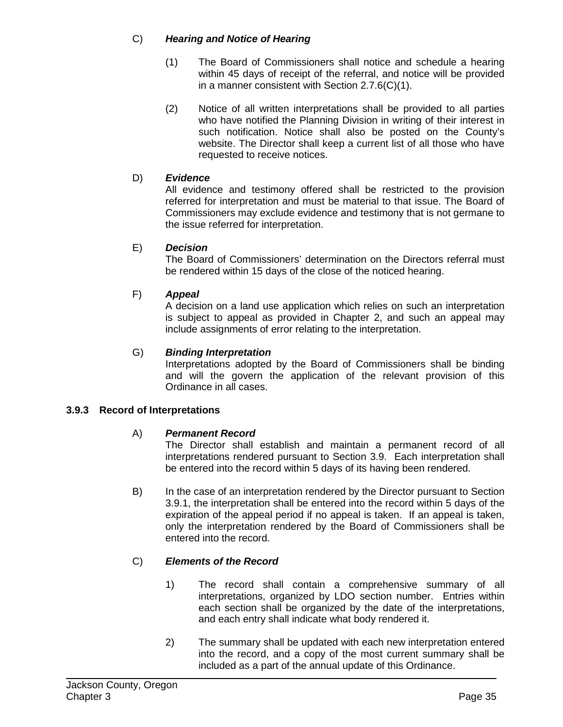### C) *Hearing and Notice of Hearing*

- (1) The Board of Commissioners shall notice and schedule a hearing within 45 days of receipt of the referral, and notice will be provided in a manner consistent with Section 2.7.6(C)(1).
- (2) Notice of all written interpretations shall be provided to all parties who have notified the Planning Division in writing of their interest in such notification. Notice shall also be posted on the County's website. The Director shall keep a current list of all those who have requested to receive notices.

### D) *Evidence*

All evidence and testimony offered shall be restricted to the provision referred for interpretation and must be material to that issue. The Board of Commissioners may exclude evidence and testimony that is not germane to the issue referred for interpretation.

### E) *Decision*

The Board of Commissioners' determination on the Directors referral must be rendered within 15 days of the close of the noticed hearing.

### F) *Appeal*

A decision on a land use application which relies on such an interpretation is subject to appeal as provided in Chapter 2, and such an appeal may include assignments of error relating to the interpretation.

### G) *Binding Interpretation*

Interpretations adopted by the Board of Commissioners shall be binding and will the govern the application of the relevant provision of this Ordinance in all cases.

#### **3.9.3 Record of Interpretations**

#### A) *Permanent Record*

The Director shall establish and maintain a permanent record of all interpretations rendered pursuant to Section 3.9. Each interpretation shall be entered into the record within 5 days of its having been rendered.

B) In the case of an interpretation rendered by the Director pursuant to Section 3.9.1, the interpretation shall be entered into the record within 5 days of the expiration of the appeal period if no appeal is taken. If an appeal is taken, only the interpretation rendered by the Board of Commissioners shall be entered into the record.

### C) *Elements of the Record*

- 1) The record shall contain a comprehensive summary of all interpretations, organized by LDO section number. Entries within each section shall be organized by the date of the interpretations, and each entry shall indicate what body rendered it.
- 2) The summary shall be updated with each new interpretation entered into the record, and a copy of the most current summary shall be included as a part of the annual update of this Ordinance.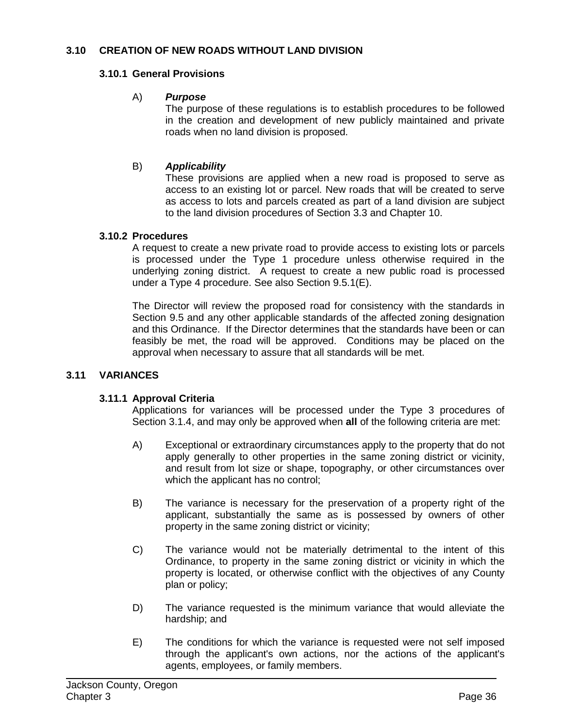### **3.10 CREATION OF NEW ROADS WITHOUT LAND DIVISION**

#### **3.10.1 General Provisions**

#### A) *Purpose*

The purpose of these regulations is to establish procedures to be followed in the creation and development of new publicly maintained and private roads when no land division is proposed.

### B) *Applicability*

These provisions are applied when a new road is proposed to serve as access to an existing lot or parcel. New roads that will be created to serve as access to lots and parcels created as part of a land division are subject to the land division procedures of Section 3.3 and Chapter 10.

#### **3.10.2 Procedures**

A request to create a new private road to provide access to existing lots or parcels is processed under the Type 1 procedure unless otherwise required in the underlying zoning district. A request to create a new public road is processed under a Type 4 procedure. See also Section 9.5.1(E).

The Director will review the proposed road for consistency with the standards in Section 9.5 and any other applicable standards of the affected zoning designation and this Ordinance. If the Director determines that the standards have been or can feasibly be met, the road will be approved. Conditions may be placed on the approval when necessary to assure that all standards will be met.

#### **3.11 VARIANCES**

#### **3.11.1 Approval Criteria**

Applications for variances will be processed under the Type 3 procedures of Section 3.1.4, and may only be approved when **all** of the following criteria are met:

- A) Exceptional or extraordinary circumstances apply to the property that do not apply generally to other properties in the same zoning district or vicinity, and result from lot size or shape, topography, or other circumstances over which the applicant has no control;
- B) The variance is necessary for the preservation of a property right of the applicant, substantially the same as is possessed by owners of other property in the same zoning district or vicinity;
- C) The variance would not be materially detrimental to the intent of this Ordinance, to property in the same zoning district or vicinity in which the property is located, or otherwise conflict with the objectives of any County plan or policy;
- D) The variance requested is the minimum variance that would alleviate the hardship; and
- E) The conditions for which the variance is requested were not self imposed through the applicant's own actions, nor the actions of the applicant's agents, employees, or family members.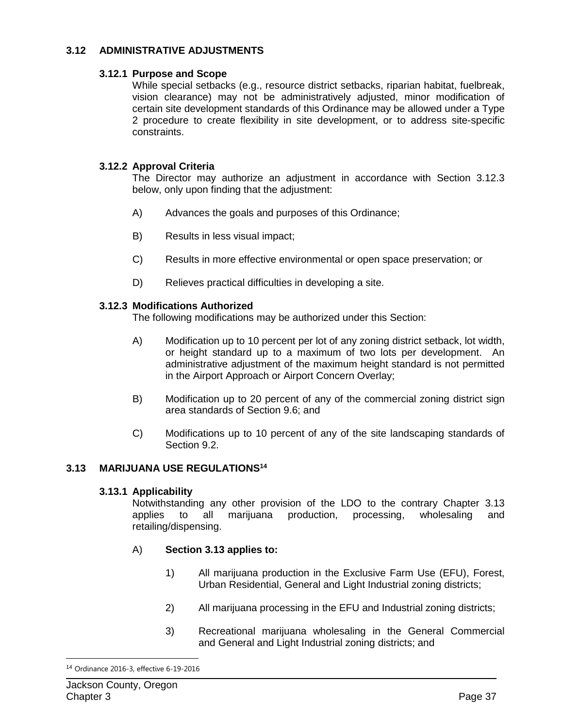### **3.12 ADMINISTRATIVE ADJUSTMENTS**

#### **3.12.1 Purpose and Scope**

While special setbacks (e.g., resource district setbacks, riparian habitat, fuelbreak, vision clearance) may not be administratively adjusted, minor modification of certain site development standards of this Ordinance may be allowed under a Type 2 procedure to create flexibility in site development, or to address site-specific constraints.

### **3.12.2 Approval Criteria**

The Director may authorize an adjustment in accordance with Section 3.12.3 below, only upon finding that the adjustment:

- A) Advances the goals and purposes of this Ordinance;
- B) Results in less visual impact;
- C) Results in more effective environmental or open space preservation; or
- D) Relieves practical difficulties in developing a site.

### **3.12.3 Modifications Authorized**

The following modifications may be authorized under this Section:

- A) Modification up to 10 percent per lot of any zoning district setback, lot width, or height standard up to a maximum of two lots per development. An administrative adjustment of the maximum height standard is not permitted in the Airport Approach or Airport Concern Overlay;
- B) Modification up to 20 percent of any of the commercial zoning district sign area standards of Section 9.6; and
- C) Modifications up to 10 percent of any of the site landscaping standards of Section 9.2.

### **3.13 MARIJUANA USE REGULATIONS14**

#### **3.13.1 Applicability**

Notwithstanding any other provision of the LDO to the contrary Chapter 3.13 applies to all marijuana production, processing, wholesaling and retailing/dispensing.

### A) **Section 3.13 applies to:**

- 1) All marijuana production in the Exclusive Farm Use (EFU), Forest, Urban Residential, General and Light Industrial zoning districts;
- 2) All marijuana processing in the EFU and Industrial zoning districts;
- 3) Recreational marijuana wholesaling in the General Commercial and General and Light Industrial zoning districts; and

<sup>14</sup> Ordinance 2016-3, effective 6-19-2016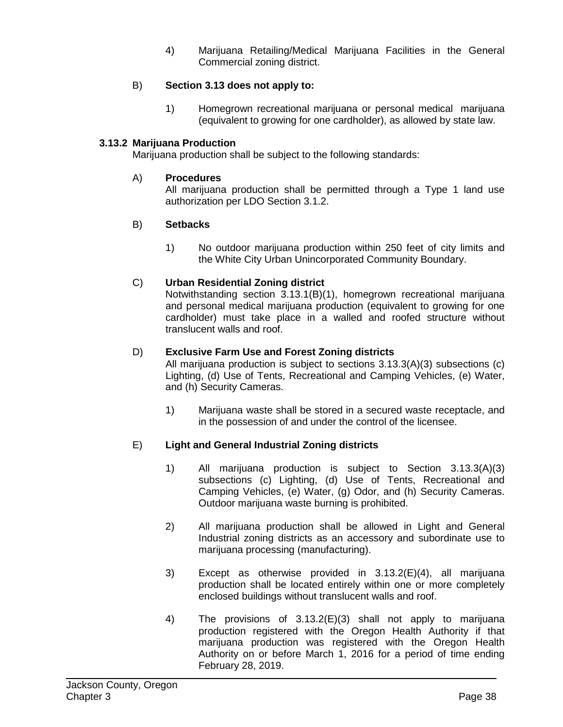4) Marijuana Retailing/Medical Marijuana Facilities in the General Commercial zoning district.

### B) **Section 3.13 does not apply to:**

1) Homegrown recreational marijuana or personal medical marijuana (equivalent to growing for one cardholder), as allowed by state law.

### **3.13.2 Marijuana Production**

Marijuana production shall be subject to the following standards:

### A) **Procedures**

All marijuana production shall be permitted through a Type 1 land use authorization per LDO Section 3.1.2.

### B) **Setbacks**

1) No outdoor marijuana production within 250 feet of city limits and the White City Urban Unincorporated Community Boundary.

### C) **Urban Residential Zoning district**

Notwithstanding section 3.13.1(B)(1), homegrown recreational marijuana and personal medical marijuana production (equivalent to growing for one cardholder) must take place in a walled and roofed structure without translucent walls and roof.

### D) **Exclusive Farm Use and Forest Zoning districts**

All marijuana production is subject to sections 3.13.3(A)(3) subsections (c) Lighting, (d) Use of Tents, Recreational and Camping Vehicles, (e) Water, and (h) Security Cameras.

1) Marijuana waste shall be stored in a secured waste receptacle, and in the possession of and under the control of the licensee.

### E) **Light and General Industrial Zoning districts**

- 1) All marijuana production is subject to Section 3.13.3(A)(3) subsections (c) Lighting, (d) Use of Tents, Recreational and Camping Vehicles, (e) Water, (g) Odor, and (h) Security Cameras. Outdoor marijuana waste burning is prohibited.
- 2) All marijuana production shall be allowed in Light and General Industrial zoning districts as an accessory and subordinate use to marijuana processing (manufacturing).
- 3) Except as otherwise provided in 3.13.2(E)(4), all marijuana production shall be located entirely within one or more completely enclosed buildings without translucent walls and roof.
- 4) The provisions of 3.13.2(E)(3) shall not apply to marijuana production registered with the Oregon Health Authority if that marijuana production was registered with the Oregon Health Authority on or before March 1, 2016 for a period of time ending February 28, 2019.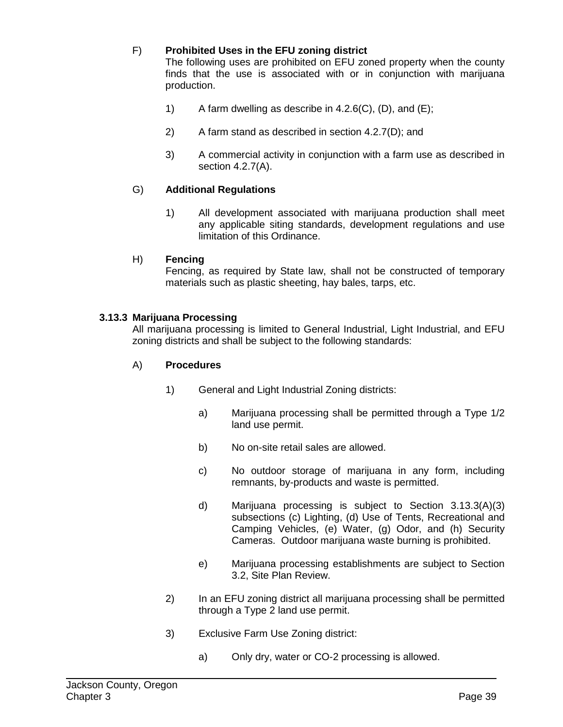### F) **Prohibited Uses in the EFU zoning district**

The following uses are prohibited on EFU zoned property when the county finds that the use is associated with or in conjunction with marijuana production.

- 1) A farm dwelling as describe in 4.2.6(C), (D), and  $(E)$ ;
- 2) A farm stand as described in section 4.2.7(D); and
- 3) A commercial activity in conjunction with a farm use as described in section 4.2.7(A).

### G) **Additional Regulations**

1) All development associated with marijuana production shall meet any applicable siting standards, development regulations and use limitation of this Ordinance.

#### H) **Fencing**

Fencing, as required by State law, shall not be constructed of temporary materials such as plastic sheeting, hay bales, tarps, etc.

#### **3.13.3 Marijuana Processing**

All marijuana processing is limited to General Industrial, Light Industrial, and EFU zoning districts and shall be subject to the following standards:

#### A) **Procedures**

- 1) General and Light Industrial Zoning districts:
	- a) Marijuana processing shall be permitted through a Type 1/2 land use permit.
	- b) No on-site retail sales are allowed.
	- c) No outdoor storage of marijuana in any form, including remnants, by-products and waste is permitted.
	- d) Marijuana processing is subject to Section 3.13.3(A)(3) subsections (c) Lighting, (d) Use of Tents, Recreational and Camping Vehicles, (e) Water, (g) Odor, and (h) Security Cameras. Outdoor marijuana waste burning is prohibited.
	- e) Marijuana processing establishments are subject to Section 3.2, Site Plan Review.
- 2) In an EFU zoning district all marijuana processing shall be permitted through a Type 2 land use permit.
- 3) Exclusive Farm Use Zoning district:
	- a) Only dry, water or CO-2 processing is allowed.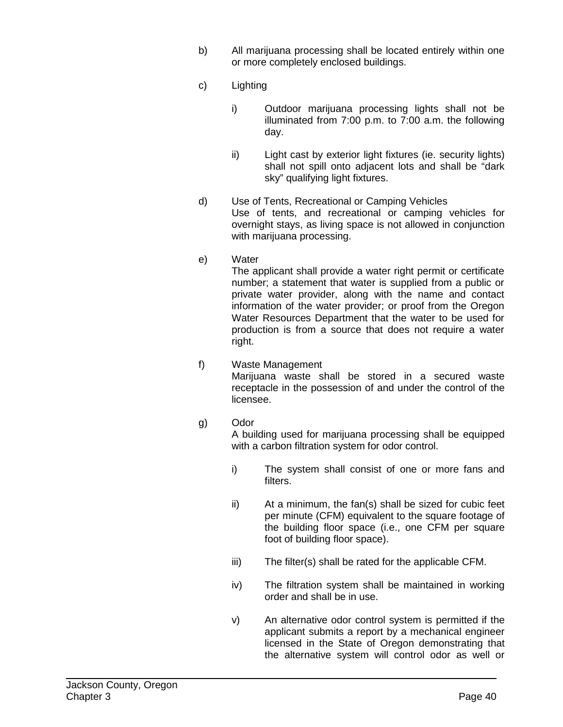- b) All marijuana processing shall be located entirely within one or more completely enclosed buildings.
- c) Lighting
	- i) Outdoor marijuana processing lights shall not be illuminated from 7:00 p.m. to 7:00 a.m. the following day.
	- ii) Light cast by exterior light fixtures (ie. security lights) shall not spill onto adjacent lots and shall be "dark sky" qualifying light fixtures.
- d) Use of Tents, Recreational or Camping Vehicles Use of tents, and recreational or camping vehicles for overnight stays, as living space is not allowed in conjunction with marijuana processing.
- e) Water

The applicant shall provide a water right permit or certificate number; a statement that water is supplied from a public or private water provider, along with the name and contact information of the water provider; or proof from the Oregon Water Resources Department that the water to be used for production is from a source that does not require a water right.

- f) Waste Management Marijuana waste shall be stored in a secured waste receptacle in the possession of and under the control of the licensee.
- g) Odor

A building used for marijuana processing shall be equipped with a carbon filtration system for odor control.

- i) The system shall consist of one or more fans and filters.
- ii) At a minimum, the fan(s) shall be sized for cubic feet per minute (CFM) equivalent to the square footage of the building floor space (i.e., one CFM per square foot of building floor space).
- iii) The filter(s) shall be rated for the applicable CFM.
- iv) The filtration system shall be maintained in working order and shall be in use.
- v) An alternative odor control system is permitted if the applicant submits a report by a mechanical engineer licensed in the State of Oregon demonstrating that the alternative system will control odor as well or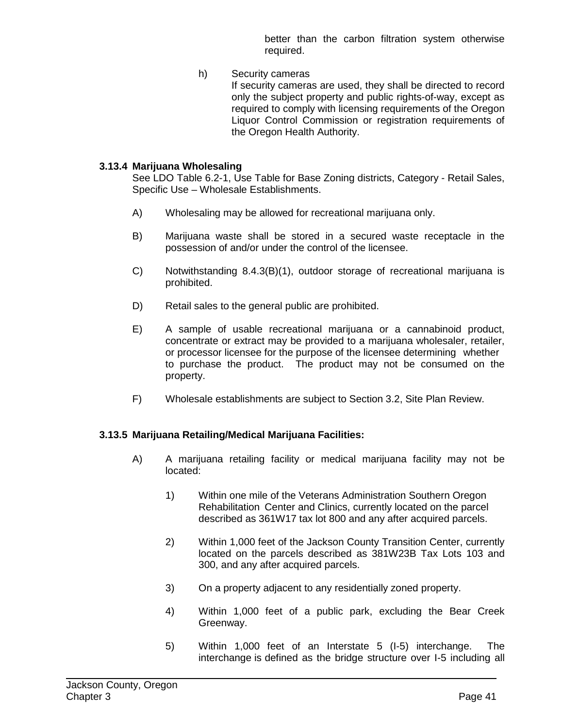better than the carbon filtration system otherwise required.

h) Security cameras If security cameras are used, they shall be directed to record only the subject property and public rights-of-way, except as required to comply with licensing requirements of the Oregon Liquor Control Commission or registration requirements of the Oregon Health Authority.

#### **3.13.4 Marijuana Wholesaling**

See LDO Table 6.2-1, Use Table for Base Zoning districts, Category - Retail Sales, Specific Use – Wholesale Establishments.

- A) Wholesaling may be allowed for recreational marijuana only.
- B) Marijuana waste shall be stored in a secured waste receptacle in the possession of and/or under the control of the licensee.
- C) Notwithstanding 8.4.3(B)(1), outdoor storage of recreational marijuana is prohibited.
- D) Retail sales to the general public are prohibited.
- E) A sample of usable recreational marijuana or a cannabinoid product, concentrate or extract may be provided to a marijuana wholesaler, retailer, or processor licensee for the purpose of the licensee determining whether to purchase the product. The product may not be consumed on the property.
- F) Wholesale establishments are subject to Section 3.2, Site Plan Review.

### **3.13.5 Marijuana Retailing/Medical Marijuana Facilities:**

- A) A marijuana retailing facility or medical marijuana facility may not be located:
	- 1) Within one mile of the Veterans Administration Southern Oregon Rehabilitation Center and Clinics, currently located on the parcel described as 361W17 tax lot 800 and any after acquired parcels.
	- 2) Within 1,000 feet of the Jackson County Transition Center, currently located on the parcels described as 381W23B Tax Lots 103 and 300, and any after acquired parcels.
	- 3) On a property adjacent to any residentially zoned property.
	- 4) Within 1,000 feet of a public park, excluding the Bear Creek Greenway.
	- 5) Within 1,000 feet of an Interstate 5 (I-5) interchange. The interchange is defined as the bridge structure over I-5 including all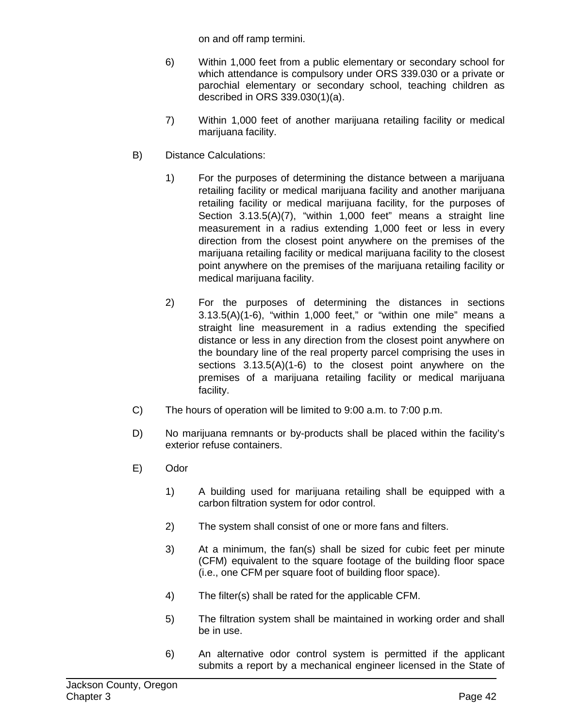on and off ramp termini.

- 6) Within 1,000 feet from a public elementary or secondary school for which attendance is compulsory under ORS 339.030 or a private or parochial elementary or secondary school, teaching children as described in ORS 339.030(1)(a).
- 7) Within 1,000 feet of another marijuana retailing facility or medical marijuana facility.
- B) Distance Calculations:
	- 1) For the purposes of determining the distance between a marijuana retailing facility or medical marijuana facility and another marijuana retailing facility or medical marijuana facility, for the purposes of Section 3.13.5(A)(7), "within 1,000 feet" means a straight line measurement in a radius extending 1,000 feet or less in every direction from the closest point anywhere on the premises of the marijuana retailing facility or medical marijuana facility to the closest point anywhere on the premises of the marijuana retailing facility or medical marijuana facility.
	- 2) For the purposes of determining the distances in sections 3.13.5(A)(1-6), "within 1,000 feet," or "within one mile" means a straight line measurement in a radius extending the specified distance or less in any direction from the closest point anywhere on the boundary line of the real property parcel comprising the uses in sections 3.13.5(A)(1-6) to the closest point anywhere on the premises of a marijuana retailing facility or medical marijuana facility.
- C) The hours of operation will be limited to 9:00 a.m. to 7:00 p.m.
- D) No marijuana remnants or by-products shall be placed within the facility's exterior refuse containers.
- E) Odor
	- 1) A building used for marijuana retailing shall be equipped with a carbon filtration system for odor control.
	- 2) The system shall consist of one or more fans and filters.
	- 3) At a minimum, the fan(s) shall be sized for cubic feet per minute (CFM) equivalent to the square footage of the building floor space (i.e., one CFM per square foot of building floor space).
	- 4) The filter(s) shall be rated for the applicable CFM.
	- 5) The filtration system shall be maintained in working order and shall be in use.
	- 6) An alternative odor control system is permitted if the applicant submits a report by a mechanical engineer licensed in the State of